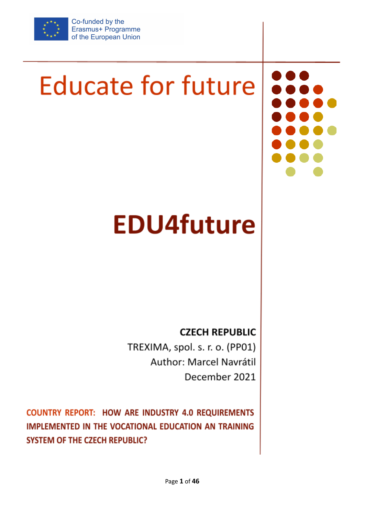

Co-funded by the Erasmus+ Programme of the European Union

# **Educate for future**

# **EDU4future**

**CZECH REPUBLIC** 

TREXIMA, spol. s. r. o. (PP01) Author: Marcel Navrátil December 2021

**COUNTRY REPORT: HOW ARE INDUSTRY 4.0 REQUIREMENTS** IMPLEMENTED IN THE VOCATIONAL EDUCATION AN TRAINING **SYSTEM OF THE CZECH REPUBLIC?**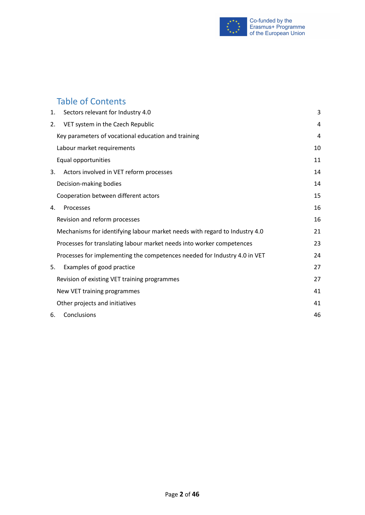

# Table of Contents

| 1. | Sectors relevant for Industry 4.0                                          | 3  |
|----|----------------------------------------------------------------------------|----|
| 2. | VET system in the Czech Republic                                           | 4  |
|    | Key parameters of vocational education and training                        | 4  |
|    | Labour market requirements                                                 | 10 |
|    | Equal opportunities                                                        | 11 |
| 3. | Actors involved in VET reform processes                                    | 14 |
|    | Decision-making bodies                                                     | 14 |
|    | Cooperation between different actors                                       | 15 |
| 4. | Processes                                                                  | 16 |
|    | Revision and reform processes                                              | 16 |
|    | Mechanisms for identifying labour market needs with regard to Industry 4.0 | 21 |
|    | Processes for translating labour market needs into worker competences      | 23 |
|    | Processes for implementing the competences needed for Industry 4.0 in VET  | 24 |
| 5. | Examples of good practice                                                  | 27 |
|    | Revision of existing VET training programmes                               | 27 |
|    | New VET training programmes                                                | 41 |
|    | Other projects and initiatives                                             | 41 |
| 6. | Conclusions                                                                | 46 |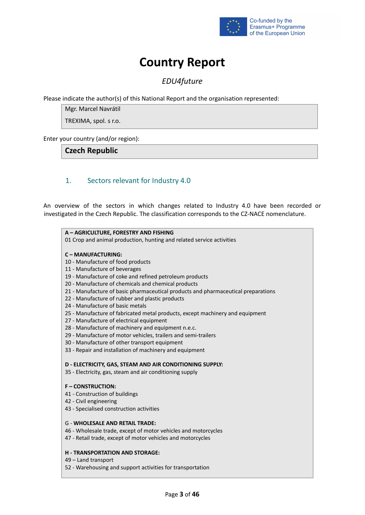

# **Country Report**

# *EDU4future*

Please indicate the author(s) of this National Report and the organisation represented:

Mgr. Marcel Navrátil

TREXIMA, spol. s r.o.

Enter your country (and/or region):

# **Czech Republic**

# <span id="page-2-0"></span>1. Sectors relevant for Industry 4.0

An overview of the sectors in which changes related to Industry 4.0 have been recorded or investigated in the Czech Republic. The classification corresponds to the CZ-NACE nomenclature.

### **A – AGRICULTURE, FORESTRY AND FISHING** 01 Crop and animal production, hunting and related service activities **C – MANUFACTURING:** 10 - Manufacture of food products 11 - Manufacture of beverages 19 - Manufacture of coke and refined petroleum products 20 - Manufacture of chemicals and chemical products 21 - Manufacture of basic pharmaceutical products and pharmaceutical preparations 22 - Manufacture of rubber and plastic products 24 - Manufacture of basic metals 25 - Manufacture of fabricated metal products, except machinery and equipment 27 - Manufacture of electrical equipment 28 - Manufacture of machinery and equipment n.e.c. 29 - Manufacture of motor vehicles, trailers and semi-trailers 30 - Manufacture of other transport equipment 33 - Repair and installation of machinery and equipment **D - ELECTRICITY, GAS, STEAM AND AIR CONDITIONING SUPPLY:** 35 - Electricity, gas, steam and air conditioning supply

#### **F – CONSTRUCTION:**

- 41 Construction of buildings
- 42 Civil engineering
- 43 Specialised construction activities

#### G - **WHOLESALE AND RETAIL TRADE:**

- 46 Wholesale trade, except of motor vehicles and motorcycles
- 47 Retail trade, except of motor vehicles and motorcycles

#### **H - TRANSPORTATION AND STORAGE:**

- 49 Land transport
- 52 Warehousing and support activities for transportation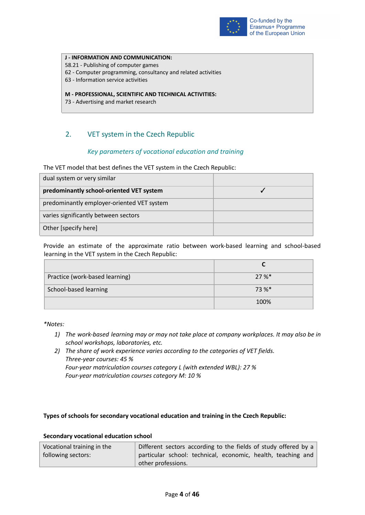

#### **J - INFORMATION AND COMMUNICATION:**

- 58.21 Publishing of computer games
- 62 Computer programming, consultancy and related activities
- 63 Information service activities

#### **M - PROFESSIONAL, SCIENTIFIC AND TECHNICAL ACTIVITIES:**

73 - Advertising and market research

# <span id="page-3-1"></span><span id="page-3-0"></span>2. VET system in the Czech Republic

#### *Key parameters of vocational education and training*

The VET model that best defines the VET system in the Czech Republic:

| dual system or very similar                |  |
|--------------------------------------------|--|
| predominantly school-oriented VET system   |  |
| predominantly employer-oriented VET system |  |
| varies significantly between sectors       |  |
| Other [specify here]                       |  |

Provide an estimate of the approximate ratio between work-based learning and school-based learning in the VET system in the Czech Republic:

| Practice (work-based learning) | 27%     |
|--------------------------------|---------|
| School-based learning          | $73 \%$ |
|                                | 100%    |

*\*Notes:*

- *1) The work-based learning may or may not take place at company workplaces. It may also be in school workshops, laboratories, etc.*
- *2) The share of work experience varies according to the categories of VET fields. Three-year courses: 45 % Four-year matriculation courses category L (with extended WBL): 27 % Four-year matriculation courses category M: 10 %*

#### **Types of schools for secondary vocational education and training in the Czech Republic:**

#### **Secondary vocational education school**

| Vocational training in the | Different sectors according to the fields of study offered by a |  |  |
|----------------------------|-----------------------------------------------------------------|--|--|
| following sectors:         | particular school: technical, economic, health, teaching and    |  |  |
|                            | other professions.                                              |  |  |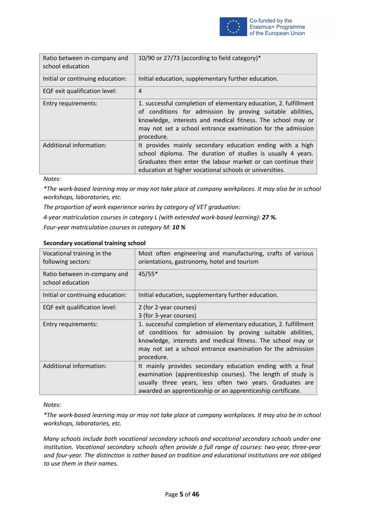

| Ratio between in-company and<br>school education | 10/90 or 27/73 (according to field category)*                                                                                                                                                                                                                              |
|--------------------------------------------------|----------------------------------------------------------------------------------------------------------------------------------------------------------------------------------------------------------------------------------------------------------------------------|
| Initial or continuing education:                 | Initial education, supplementary further education.                                                                                                                                                                                                                        |
| EQF exit qualification level:                    | $\overline{4}$                                                                                                                                                                                                                                                             |
| Entry requirements:                              | 1. successful completion of elementary education, 2. fulfillment<br>of conditions for admission by proving suitable abilities,<br>knowledge, interests and medical fitness. The school may or<br>may not set a school entrance examination for the admission<br>procedure. |
| Additional information:                          | It provides mainly secondary education ending with a high<br>school diploma. The duration of studies is usually 4 years.<br>Graduates then enter the labour market or can continue their<br>education at higher vocational schools or universities.                        |

*Notes:*

*\*The work-based learning may or may not take place at company workplaces. It may also be in school workshops, laboratories, etc.*

*The proportion of work experience varies by category of VET graduation:*

*4-year matriculation courses in category L (with extended work-based learning): 27 %.*

*Four-year matriculation courses in category M: 10 %*

| Vocational training in the<br>following sectors: | Most often engineering and manufacturing, crafts of various<br>orientations, gastronomy, hotel and tourism                                                                                                                                                                 |
|--------------------------------------------------|----------------------------------------------------------------------------------------------------------------------------------------------------------------------------------------------------------------------------------------------------------------------------|
| Ratio between in-company and<br>school education | 45/55*                                                                                                                                                                                                                                                                     |
| Initial or continuing education:                 | Initial education, supplementary further education.                                                                                                                                                                                                                        |
| EQF exit qualification level:                    | 2 (for 2-year courses)<br>3 (for 3-year courses)                                                                                                                                                                                                                           |
| Entry requirements:                              | 1. successful completion of elementary education, 2. fulfillment<br>of conditions for admission by proving suitable abilities,<br>knowledge, interests and medical fitness. The school may or<br>may not set a school entrance examination for the admission<br>procedure. |
| Additional information:                          | It mainly provides secondary education ending with a final<br>examination (apprenticeship courses). The length of study is<br>usually three years, less often two years. Graduates are<br>awarded an apprenticeship or an apprenticeship certificate.                      |

#### **Secondary vocational training school**

#### *Notes:*

*\*The work-based learning may or may not take place at company workplaces. It may also be in school workshops, laboratories, etc.*

*Many schools include both vocational secondary schools and vocational secondary schools under one institution. Vocational secondary schools often provide a full range of courses: two-year, three-year and four-year. The distinction is rather based on tradition and educational institutions are not obliged to use them in their names.*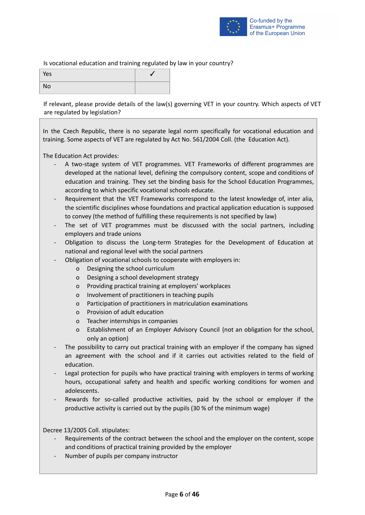

#### Is vocational education and training regulated by law in your country?

| Yes       |  |
|-----------|--|
| <b>No</b> |  |

If relevant, please provide details of the law(s) governing VET in your country. Which aspects of VET are regulated by legislation?

In the Czech Republic, there is no separate legal norm specifically for vocational education and training. Some aspects of VET are regulated by Act No. 561/2004 Coll. (the Education Act).

The Education Act provides:

- A two-stage system of VET programmes. VET Frameworks of different programmes are developed at the national level, defining the compulsory content, scope and conditions of education and training. They set the binding basis for the School Education Programmes, according to which specific vocational schools educate.
- Requirement that the VET Frameworks correspond to the latest knowledge of, inter alia, the scientific disciplines whose foundations and practical application education is supposed to convey (the method of fulfilling these requirements is not specified by law)
- The set of VET programmes must be discussed with the social partners, including employers and trade unions
- Obligation to discuss the Long-term Strategies for the Development of Education at national and regional level with the social partners
- Obligation of vocational schools to cooperate with employers in:
	- o Designing the school curriculum
	- o Designing a school development strategy
	- o Providing practical training at employers' workplaces
	- o Involvement of practitioners in teaching pupils
	- o Participation of practitioners in matriculation examinations
	- o Provision of adult education
	- o Teacher internships in companies
	- o Establishment of an Employer Advisory Council (not an obligation for the school, only an option)
- The possibility to carry out practical training with an employer if the company has signed an agreement with the school and if it carries out activities related to the field of education.
- Legal protection for pupils who have practical training with employers in terms of working hours, occupational safety and health and specific working conditions for women and adolescents.
- Rewards for so-called productive activities, paid by the school or employer if the productive activity is carried out by the pupils (30 % of the minimum wage)

Decree 13/2005 Coll. stipulates:

- Requirements of the contract between the school and the employer on the content, scope and conditions of practical training provided by the employer
- Number of pupils per company instructor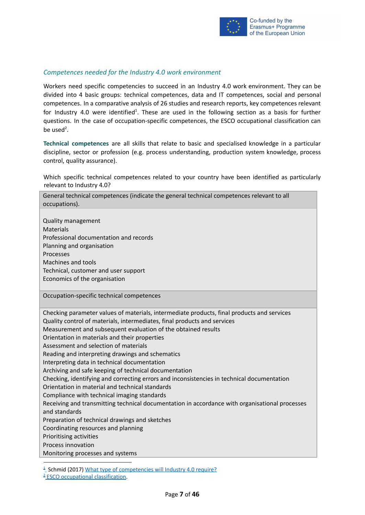

#### *Competences needed for the Industry 4.0 work environment*

Workers need specific competencies to succeed in an Industry 4.0 work environment. They can be divided into 4 basic groups: technical competences, data and IT competences, social and personal competences. In a comparative analysis of 26 studies and research reports, key competences relevant for Industry 4.0 were identified<sup>1</sup>. These are used in the following section as a basis for further questions. In the case of occupation-specific competences, the ESCO occupational classification can be used<sup>2</sup>.

**Technical competences** are all skills that relate to basic and specialised knowledge in a particular discipline, sector or profession (e.g. process understanding, production system knowledge, process control, quality assurance).

Which specific technical competences related to your country have been identified as particularly relevant to Industry 4.0?

| General technical competences (indicate the general technical competences relevant to all<br>occupations).                                                                                                                                                                                                                                                                                                                                                                                                                                                                                                                                                                                                                                                                                                                                                                                                                                                                                      |
|-------------------------------------------------------------------------------------------------------------------------------------------------------------------------------------------------------------------------------------------------------------------------------------------------------------------------------------------------------------------------------------------------------------------------------------------------------------------------------------------------------------------------------------------------------------------------------------------------------------------------------------------------------------------------------------------------------------------------------------------------------------------------------------------------------------------------------------------------------------------------------------------------------------------------------------------------------------------------------------------------|
| <b>Quality management</b><br><b>Materials</b><br>Professional documentation and records<br>Planning and organisation<br>Processes<br><b>Machines and tools</b><br>Technical, customer and user support<br>Economics of the organisation                                                                                                                                                                                                                                                                                                                                                                                                                                                                                                                                                                                                                                                                                                                                                         |
| Occupation-specific technical competences                                                                                                                                                                                                                                                                                                                                                                                                                                                                                                                                                                                                                                                                                                                                                                                                                                                                                                                                                       |
| Checking parameter values of materials, intermediate products, final products and services<br>Quality control of materials, intermediates, final products and services<br>Measurement and subsequent evaluation of the obtained results<br>Orientation in materials and their properties<br>Assessment and selection of materials<br>Reading and interpreting drawings and schematics<br>Interpreting data in technical documentation<br>Archiving and safe keeping of technical documentation<br>Checking, identifying and correcting errors and inconsistencies in technical documentation<br>Orientation in material and technical standards<br>Compliance with technical imaging standards<br>Receiving and transmitting technical documentation in accordance with organisational processes<br>and standards<br>Preparation of technical drawings and sketches<br>Coordinating resources and planning<br>Prioritising activities<br>Process innovation<br>Monitoring processes and systems |
| <sup>1</sup> Schmid (2017) What type of competencies will Industry 4.0 require?                                                                                                                                                                                                                                                                                                                                                                                                                                                                                                                                                                                                                                                                                                                                                                                                                                                                                                                 |

<sup>&</sup>lt;sup>2</sup> ESCO [occupational](https://ec.europa.eu/esco/portal/occupation) classification.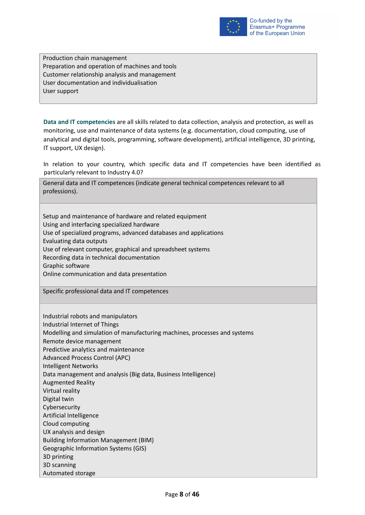

Production chain management Preparation and operation of machines and tools Customer relationship analysis and management User documentation and individualisation User support

**Data and IT competencies** are all skills related to data collection, analysis and protection, as well as monitoring, use and maintenance of data systems (e.g. documentation, cloud computing, use of analytical and digital tools, programming, software development), artificial intelligence, 3D printing, IT support, UX design).

In relation to your country, which specific data and IT competencies have been identified as particularly relevant to Industry 4.0?

General data and IT competences (indicate general technical competences relevant to all professions).

Setup and maintenance of hardware and related equipment Using and interfacing specialized hardware Use of specialized programs, advanced databases and applications Evaluating data outputs Use of relevant computer, graphical and spreadsheet systems Recording data in technical documentation Graphic software Online communication and data presentation

Specific professional data and IT competences

Industrial robots and manipulators Industrial Internet of Things Modelling and simulation of manufacturing machines, processes and systems Remote device management Predictive analytics and maintenance Advanced Process Control (APC) Intelligent Networks Data management and analysis (Big data, Business Intelligence) Augmented Reality Virtual reality Digital twin Cybersecurity Artificial Intelligence Cloud computing UX analysis and design Building Information Management (BIM) Geographic Information Systems (GIS) 3D printing 3D scanning Automated storage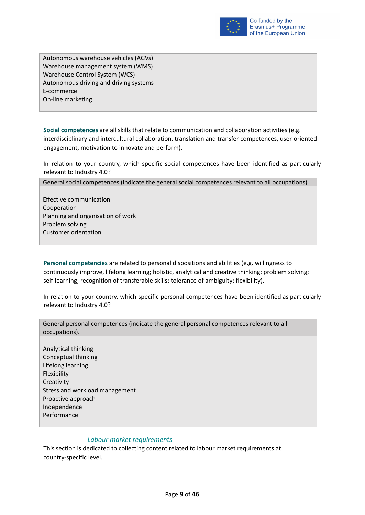

Autonomous warehouse vehicles (AGVs) Warehouse management system (WMS) Warehouse Control System (WCS) Autonomous driving and driving systems E-commerce On-line marketing

**Social competences** are all skills that relate to communication and collaboration activities (e.g. interdisciplinary and intercultural collaboration, translation and transfer competences, user-oriented engagement, motivation to innovate and perform).

In relation to your country, which specific social competences have been identified as particularly relevant to Industry 4.0?

General social competences (indicate the general social competences relevant to all occupations).

Effective communication Cooperation Planning and organisation of work Problem solving Customer orientation

**Personal competencies** are related to personal dispositions and abilities (e.g. willingness to continuously improve, lifelong learning; holistic, analytical and creative thinking; problem solving; self-learning, recognition of transferable skills; tolerance of ambiguity; flexibility).

In relation to your country, which specific personal competences have been identified as particularly relevant to Industry 4.0?

General personal competences (indicate the general personal competences relevant to all occupations).

Analytical thinking Conceptual thinking Lifelong learning Flexibility **Creativity** Stress and workload management Proactive approach Independence Performance

#### *Labour market requirements*

<span id="page-8-0"></span>This section is dedicated to collecting content related to labour market requirements at country-specific level.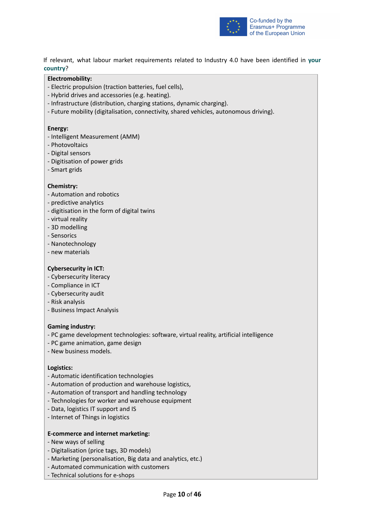

If relevant, what labour market requirements related to Industry 4.0 have been identified in **your country**?

#### **Electromobility:**

- Electric propulsion (traction batteries, fuel cells),
- Hybrid drives and accessories (e.g. heating).
- Infrastructure (distribution, charging stations, dynamic charging).
- Future mobility (digitalisation, connectivity, shared vehicles, autonomous driving).

#### **Energy:**

- Intelligent Measurement (AMM)
- Photovoltaics
- Digital sensors
- Digitisation of power grids
- Smart grids

#### **Chemistry:**

- Automation and robotics
- predictive analytics
- digitisation in the form of digital twins
- virtual reality
- 3D modelling
- Sensorics
- Nanotechnology
- new materials

#### **Cybersecurity in ICT:**

- Cybersecurity literacy
- Compliance in ICT
- Cybersecurity audit
- Risk analysis
- Business Impact Analysis

#### **Gaming industry:**

- PC game development technologies: software, virtual reality, artificial intelligence
- PC game animation, game design
- New business models.

#### **Logistics:**

- Automatic identification technologies
- Automation of production and warehouse logistics,
- Automation of transport and handling technology
- Technologies for worker and warehouse equipment
- Data, logistics IT support and IS
- Internet of Things in logistics

#### **E-commerce and internet marketing:**

- New ways of selling
- Digitalisation (price tags, 3D models)
- Marketing (personalisation, Big data and analytics, etc.)
- Automated communication with customers
- Technical solutions for e-shops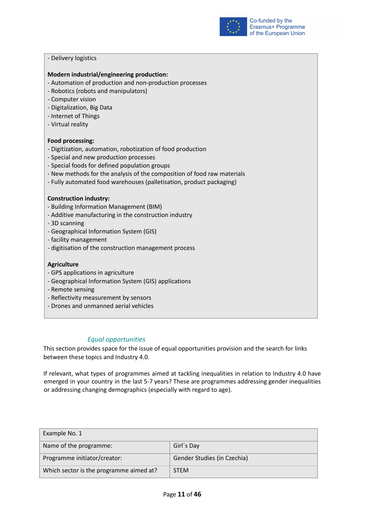

#### - Delivery logistics

#### **Modern industrial/engineering production:**

- Automation of production and non-production processes
- Robotics (robots and manipulators)
- Computer vision
- Digitalization, Big Data
- Internet of Things
- Virtual reality

#### **Food processing:**

- Digitization, automation, robotization of food production
- Special and new production processes
- Special foods for defined population groups
- New methods for the analysis of the composition of food raw materials
- Fully automated food warehouses (palletisation, product packaging)

#### **Construction industry:**

- Building Information Management (BIM)
- Additive manufacturing in the construction industry
- 3D scanning
- Geographical Information System (GIS)
- facility management
- digitisation of the construction management process

#### **Agriculture**

- GPS applications in agriculture
- Geographical Information System (GIS) applications
- Remote sensing
- Reflectivity measurement by sensors
- Drones and unmanned aerial vehicles

#### *Equal opportunities*

<span id="page-10-0"></span>This section provides space for the issue of equal opportunities provision and the search for links between these topics and Industry 4.0.

If relevant, what types of programmes aimed at tackling inequalities in relation to Industry 4.0 have emerged in your country in the last 5-7 years? These are programmes addressing gender inequalities or addressing changing demographics (especially with regard to age).

| Example No. 1                           |                             |  |
|-----------------------------------------|-----------------------------|--|
| Name of the programme:                  | Girl's Day                  |  |
| Programme initiator/creator:            | Gender Studies (in Czechia) |  |
| Which sector is the programme aimed at? | <b>STEM</b>                 |  |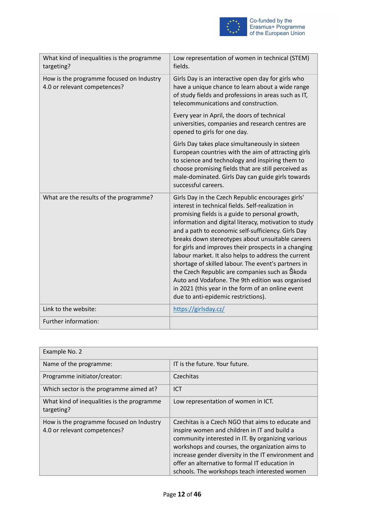

| What kind of inequalities is the programme<br>targeting?                 | Low representation of women in technical (STEM)<br>fields.                                                                                                                                                                                                                                                                                                                                                                                                                                                                                                                                                                                                                                           |
|--------------------------------------------------------------------------|------------------------------------------------------------------------------------------------------------------------------------------------------------------------------------------------------------------------------------------------------------------------------------------------------------------------------------------------------------------------------------------------------------------------------------------------------------------------------------------------------------------------------------------------------------------------------------------------------------------------------------------------------------------------------------------------------|
| How is the programme focused on Industry<br>4.0 or relevant competences? | Girls Day is an interactive open day for girls who<br>have a unique chance to learn about a wide range<br>of study fields and professions in areas such as IT,<br>telecommunications and construction.                                                                                                                                                                                                                                                                                                                                                                                                                                                                                               |
|                                                                          | Every year in April, the doors of technical<br>universities, companies and research centres are<br>opened to girls for one day.                                                                                                                                                                                                                                                                                                                                                                                                                                                                                                                                                                      |
|                                                                          | Girls Day takes place simultaneously in sixteen<br>European countries with the aim of attracting girls<br>to science and technology and inspiring them to<br>choose promising fields that are still perceived as<br>male-dominated. Girls Day can guide girls towards<br>successful careers.                                                                                                                                                                                                                                                                                                                                                                                                         |
| What are the results of the programme?                                   | Girls Day in the Czech Republic encourages girls'<br>interest in technical fields. Self-realization in<br>promising fields is a guide to personal growth,<br>information and digital literacy, motivation to study<br>and a path to economic self-sufficiency. Girls Day<br>breaks down stereotypes about unsuitable careers<br>for girls and improves their prospects in a changing<br>labour market. It also helps to address the current<br>shortage of skilled labour. The event's partners in<br>the Czech Republic are companies such as Škoda<br>Auto and Vodafone. The 9th edition was organised<br>in 2021 (this year in the form of an online event<br>due to anti-epidemic restrictions). |
| Link to the website:                                                     | https://girlsday.cz/                                                                                                                                                                                                                                                                                                                                                                                                                                                                                                                                                                                                                                                                                 |
| Further information:                                                     |                                                                                                                                                                                                                                                                                                                                                                                                                                                                                                                                                                                                                                                                                                      |

| Example No. 2                                                            |                                                                                                                                                                                                                                                                                                                                                                     |  |
|--------------------------------------------------------------------------|---------------------------------------------------------------------------------------------------------------------------------------------------------------------------------------------------------------------------------------------------------------------------------------------------------------------------------------------------------------------|--|
| Name of the programme:                                                   | IT is the future. Your future.                                                                                                                                                                                                                                                                                                                                      |  |
| Programme initiator/creator:                                             | Czechitas                                                                                                                                                                                                                                                                                                                                                           |  |
| Which sector is the programme aimed at?                                  | <b>ICT</b>                                                                                                                                                                                                                                                                                                                                                          |  |
| What kind of inequalities is the programme<br>targeting?                 | Low representation of women in ICT.                                                                                                                                                                                                                                                                                                                                 |  |
| How is the programme focused on Industry<br>4.0 or relevant competences? | Czechitas is a Czech NGO that aims to educate and<br>inspire women and children in IT and build a<br>community interested in IT. By organizing various<br>workshops and courses, the organization aims to<br>increase gender diversity in the IT environment and<br>offer an alternative to formal IT education in<br>schools. The workshops teach interested women |  |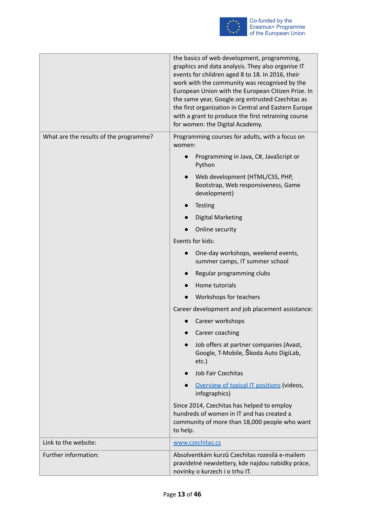

|                                        | the basics of web development, programming,<br>graphics and data analysis. They also organise IT<br>events for children aged 8 to 18. In 2016, their<br>work with the community was recognised by the<br>European Union with the European Citizen Prize. In<br>the same year, Google.org entrusted Czechitas as<br>the first organization in Central and Eastern Europe<br>with a grant to produce the first retraining course<br>for women: the Digital Academy. |
|----------------------------------------|-------------------------------------------------------------------------------------------------------------------------------------------------------------------------------------------------------------------------------------------------------------------------------------------------------------------------------------------------------------------------------------------------------------------------------------------------------------------|
| What are the results of the programme? | Programming courses for adults, with a focus on<br>women:                                                                                                                                                                                                                                                                                                                                                                                                         |
|                                        | Programming in Java, C#, JavaScript or<br>Python                                                                                                                                                                                                                                                                                                                                                                                                                  |
|                                        | Web development (HTML/CSS, PHP,<br>Bootstrap, Web responsiveness, Game<br>development)                                                                                                                                                                                                                                                                                                                                                                            |
|                                        | <b>Testing</b>                                                                                                                                                                                                                                                                                                                                                                                                                                                    |
|                                        | <b>Digital Marketing</b>                                                                                                                                                                                                                                                                                                                                                                                                                                          |
|                                        | Online security                                                                                                                                                                                                                                                                                                                                                                                                                                                   |
|                                        | Events for kids:                                                                                                                                                                                                                                                                                                                                                                                                                                                  |
|                                        | One-day workshops, weekend events,<br>summer camps, IT summer school                                                                                                                                                                                                                                                                                                                                                                                              |
|                                        | Regular programming clubs                                                                                                                                                                                                                                                                                                                                                                                                                                         |
|                                        | Home tutorials                                                                                                                                                                                                                                                                                                                                                                                                                                                    |
|                                        | Workshops for teachers                                                                                                                                                                                                                                                                                                                                                                                                                                            |
|                                        | Career development and job placement assistance:                                                                                                                                                                                                                                                                                                                                                                                                                  |
|                                        | Career workshops                                                                                                                                                                                                                                                                                                                                                                                                                                                  |
|                                        | Career coaching                                                                                                                                                                                                                                                                                                                                                                                                                                                   |
|                                        | Job offers at partner companies (Avast,<br>Google, T-Mobile, Škoda Auto DigiLab,<br>$etc.$ )                                                                                                                                                                                                                                                                                                                                                                      |
|                                        | <b>Job Fair Czechitas</b>                                                                                                                                                                                                                                                                                                                                                                                                                                         |
|                                        | Overview of typical IT positions (videos,<br>infographics)                                                                                                                                                                                                                                                                                                                                                                                                        |
|                                        | Since 2014, Czechitas has helped to employ<br>hundreds of women in IT and has created a<br>community of more than 18,000 people who want<br>to help.                                                                                                                                                                                                                                                                                                              |
| Link to the website:                   | www.czechitas.cz                                                                                                                                                                                                                                                                                                                                                                                                                                                  |
| Further information:                   | Absolventkám kurzů Czechitas rozesílá e-mailem<br>pravidelné newslettery, kde najdou nabídky práce,<br>novinky o kurzech i o trhu IT.                                                                                                                                                                                                                                                                                                                             |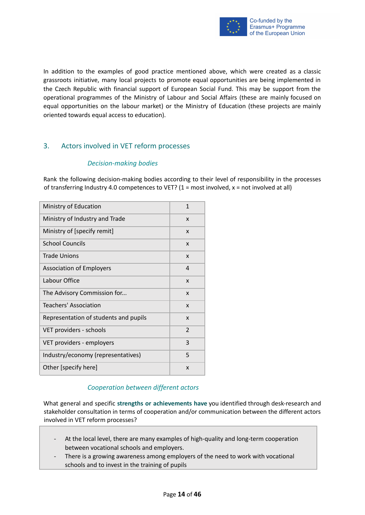

In addition to the examples of good practice mentioned above, which were created as a classic grassroots initiative, many local projects to promote equal opportunities are being implemented in the Czech Republic with financial support of European Social Fund. This may be support from the operational programmes of the Ministry of Labour and Social Affairs (these are mainly focused on equal opportunities on the labour market) or the Ministry of Education (these projects are mainly oriented towards equal access to education).

# <span id="page-13-1"></span><span id="page-13-0"></span>3. Actors involved in VET reform processes

#### *Decision-making bodies*

Rank the following decision-making bodies according to their level of responsibility in the processes of transferring Industry 4.0 competences to VET? (1 = most involved,  $x$  = not involved at all)

| Ministry of Education                 | 1             |
|---------------------------------------|---------------|
| Ministry of Industry and Trade        | X             |
| Ministry of [specify remit]           | X             |
| <b>School Councils</b>                | X             |
| <b>Trade Unions</b>                   | X             |
| <b>Association of Employers</b>       | 4             |
| Labour Office                         | X             |
| The Advisory Commission for           | X             |
| Teachers' Association                 | X             |
| Representation of students and pupils | X             |
| VET providers - schools               | $\mathcal{P}$ |
| VET providers - employers             | 3             |
| Industry/economy (representatives)    | 5             |
| Other [specify here]                  | X             |

## *Cooperation between different actors*

<span id="page-13-2"></span>What general and specific **strengths or achievements have** you identified through desk-research and stakeholder consultation in terms of cooperation and/or communication between the different actors involved in VET reform processes?

- At the local level, there are many examples of high-quality and long-term cooperation between vocational schools and employers.
- There is a growing awareness among employers of the need to work with vocational schools and to invest in the training of pupils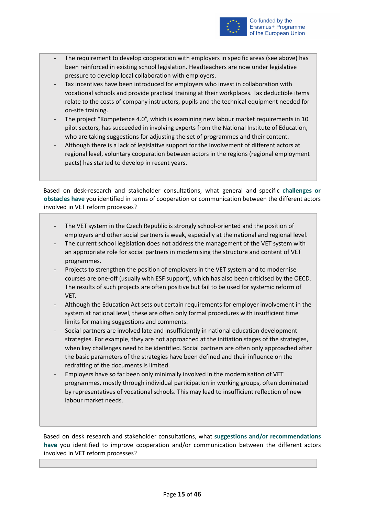

- The requirement to develop cooperation with employers in specific areas (see above) has been reinforced in existing school legislation. Headteachers are now under legislative pressure to develop local collaboration with employers.
- Tax incentives have been introduced for employers who invest in collaboration with vocational schools and provide practical training at their workplaces. Tax deductible items relate to the costs of company instructors, pupils and the technical equipment needed for on-site training.
- The project "Kompetence 4.0", which is examining new labour market requirements in 10 pilot sectors, has succeeded in involving experts from the National Institute of Education, who are taking suggestions for adjusting the set of programmes and their content.
- Although there is a lack of legislative support for the involvement of different actors at regional level, voluntary cooperation between actors in the regions (regional employment pacts) has started to develop in recent years.

Based on desk-research and stakeholder consultations, what general and specific **challenges or obstacles have** you identified in terms of cooperation or communication between the different actors involved in VET reform processes?

- The VET system in the Czech Republic is strongly school-oriented and the position of employers and other social partners is weak, especially at the national and regional level.
- The current school legislation does not address the management of the VET system with an appropriate role for social partners in modernising the structure and content of VET programmes.
- Projects to strengthen the position of employers in the VET system and to modernise courses are one-off (usually with ESF support), which has also been criticised by the OECD. The results of such projects are often positive but fail to be used for systemic reform of VET.
- Although the Education Act sets out certain requirements for employer involvement in the system at national level, these are often only formal procedures with insufficient time limits for making suggestions and comments.
- Social partners are involved late and insufficiently in national education development strategies. For example, they are not approached at the initiation stages of the strategies, when key challenges need to be identified. Social partners are often only approached after the basic parameters of the strategies have been defined and their influence on the redrafting of the documents is limited.
- Employers have so far been only minimally involved in the modernisation of VET programmes, mostly through individual participation in working groups, often dominated by representatives of vocational schools. This may lead to insufficient reflection of new labour market needs.

Based on desk research and stakeholder consultations, what **suggestions and/or recommendations have** you identified to improve cooperation and/or communication between the different actors involved in VET reform processes?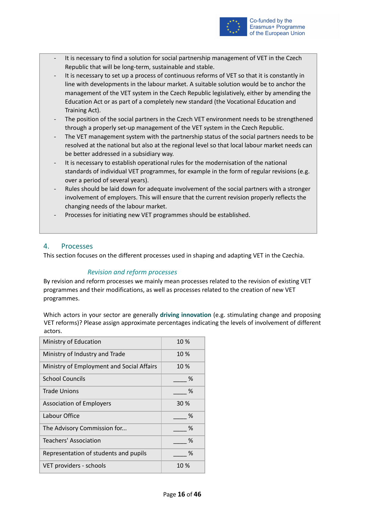

- It is necessary to find a solution for social partnership management of VET in the Czech Republic that will be long-term, sustainable and stable.
- It is necessary to set up a process of continuous reforms of VET so that it is constantly in line with developments in the labour market. A suitable solution would be to anchor the management of the VET system in the Czech Republic legislatively, either by amending the Education Act or as part of a completely new standard (the Vocational Education and Training Act).
- The position of the social partners in the Czech VET environment needs to be strengthened through a properly set-up management of the VET system in the Czech Republic.
- The VET management system with the partnership status of the social partners needs to be resolved at the national but also at the regional level so that local labour market needs can be better addressed in a subsidiary way.
- It is necessary to establish operational rules for the modernisation of the national standards of individual VET programmes, for example in the form of regular revisions (e.g. over a period of several years).
- Rules should be laid down for adequate involvement of the social partners with a stronger involvement of employers. This will ensure that the current revision properly reflects the changing needs of the labour market.
- Processes for initiating new VET programmes should be established.

# <span id="page-15-0"></span>4. Processes

<span id="page-15-1"></span>This section focuses on the different processes used in shaping and adapting VET in the Czechia.

## *Revision and reform processes*

By revision and reform processes we mainly mean processes related to the revision of existing VET programmes and their modifications, as well as processes related to the creation of new VET programmes.

Which actors in your sector are generally **driving innovation** (e.g. stimulating change and proposing VET reforms)? Please assign approximate percentages indicating the levels of involvement of different actors.

| Ministry of Education                     | 10 % |
|-------------------------------------------|------|
| Ministry of Industry and Trade            | 10 % |
| Ministry of Employment and Social Affairs | 10 % |
| <b>School Councils</b>                    | ℅    |
| <b>Trade Unions</b>                       | %    |
| <b>Association of Employers</b>           | 30 % |
| Labour Office                             | ℅    |
| The Advisory Commission for               | ℅    |
| Teachers' Association                     | ℅    |
| Representation of students and pupils     | %    |
| VET providers - schools                   | 10 % |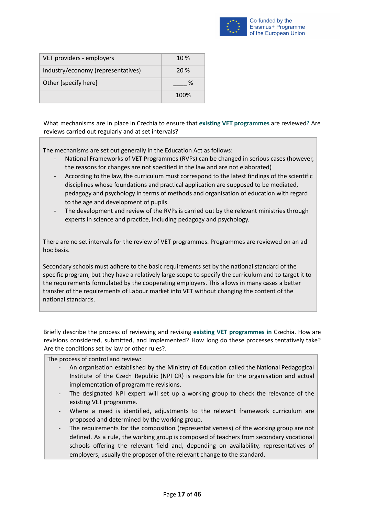

| VET providers - employers          | $10\%$ |
|------------------------------------|--------|
| Industry/economy (representatives) | 20 %   |
| Other [specify here]               | ℅      |
|                                    | 100%   |

What mechanisms are in place in Czechia to ensure that **existing VET programmes** are reviewed**?** Are reviews carried out regularly and at set intervals?

The mechanisms are set out generally in the Education Act as follows:

- National Frameworks of VET Programmes (RVPs) can be changed in serious cases (however, the reasons for changes are not specified in the law and are not elaborated)
- According to the law, the curriculum must correspond to the latest findings of the scientific disciplines whose foundations and practical application are supposed to be mediated, pedagogy and psychology in terms of methods and organisation of education with regard to the age and development of pupils.
- The development and review of the RVPs is carried out by the relevant ministries through experts in science and practice, including pedagogy and psychology.

There are no set intervals for the review of VET programmes. Programmes are reviewed on an ad hoc basis.

Secondary schools must adhere to the basic requirements set by the national standard of the specific program, but they have a relatively large scope to specify the curriculum and to target it to the requirements formulated by the cooperating employers. This allows in many cases a better transfer of the requirements of Labour market into VET without changing the content of the national standards.

Briefly describe the process of reviewing and revising **existing VET programmes in** Czechia. How are revisions considered, submitted, and implemented? How long do these processes tentatively take? Are the conditions set by law or other rules?.

The process of control and review:

- An organisation established by the Ministry of Education called the National Pedagogical Institute of the Czech Republic (NPI CR) is responsible for the organisation and actual implementation of programme revisions.
- The designated NPI expert will set up a working group to check the relevance of the existing VET programme.
- Where a need is identified, adjustments to the relevant framework curriculum are proposed and determined by the working group.
- The requirements for the composition (representativeness) of the working group are not defined. As a rule, the working group is composed of teachers from secondary vocational schools offering the relevant field and, depending on availability, representatives of employers, usually the proposer of the relevant change to the standard.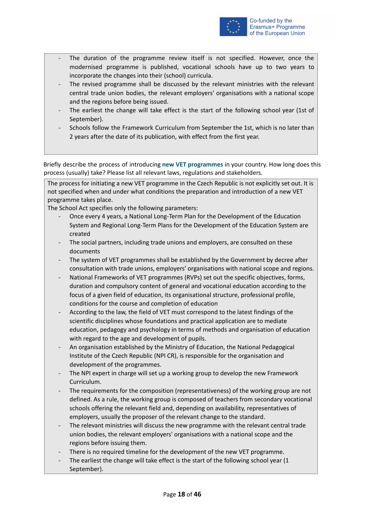

- The duration of the programme review itself is not specified. However, once the modernised programme is published, vocational schools have up to two years to incorporate the changes into their (school) curricula.
- The revised programme shall be discussed by the relevant ministries with the relevant central trade union bodies, the relevant employers' organisations with a national scope and the regions before being issued.
- The earliest the change will take effect is the start of the following school year (1st of September).
- Schools follow the Framework Curriculum from September the 1st, which is no later than 2 years after the date of its publication, with effect from the first year.

Briefly describe the process of introducing **new VET programmes** in your country. How long does this process (usually) take? Please list all relevant laws, regulations and stakeholders.

The process for initiating a new VET programme in the Czech Republic is not explicitly set out. It is not specified when and under what conditions the preparation and introduction of a new VET programme takes place.

The School Act specifies only the following parameters:

- Once every 4 years, a National Long-Term Plan for the Development of the Education System and Regional Long-Term Plans for the Development of the Education System are created
- The social partners, including trade unions and employers, are consulted on these documents
- The system of VET programmes shall be established by the Government by decree after consultation with trade unions, employers' organisations with national scope and regions.
- National Frameworks of VET programmes (RVPs) set out the specific objectives, forms, duration and compulsory content of general and vocational education according to the focus of a given field of education, its organisational structure, professional profile, conditions for the course and completion of education
- According to the law, the field of VET must correspond to the latest findings of the scientific disciplines whose foundations and practical application are to mediate education, pedagogy and psychology in terms of methods and organisation of education with regard to the age and development of pupils.
- An organisation established by the Ministry of Education, the National Pedagogical Institute of the Czech Republic (NPI CR), is responsible for the organisation and development of the programmes.
- The NPI expert in charge will set up a working group to develop the new Framework Curriculum.
- The requirements for the composition (representativeness) of the working group are not defined. As a rule, the working group is composed of teachers from secondary vocational schools offering the relevant field and, depending on availability, representatives of employers, usually the proposer of the relevant change to the standard.
- The relevant ministries will discuss the new programme with the relevant central trade union bodies, the relevant employers' organisations with a national scope and the regions before issuing them.
- There is no required timeline for the development of the new VET programme.
- The earliest the change will take effect is the start of the following school year (1 September).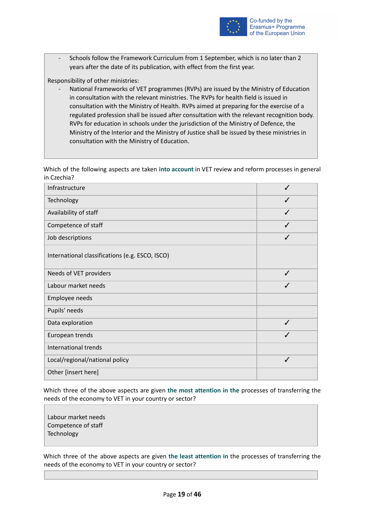

Schools follow the Framework Curriculum from 1 September, which is no later than 2 years after the date of its publication, with effect from the first year.

Responsibility of other ministries:

National Frameworks of VET programmes (RVPs) are issued by the Ministry of Education in consultation with the relevant ministries. The RVPs for health field is issued in consultation with the Ministry of Health. RVPs aimed at preparing for the exercise of a regulated profession shall be issued after consultation with the relevant recognition body. RVPs for education in schools under the jurisdiction of the Ministry of Defence, the Ministry of the Interior and the Ministry of Justice shall be issued by these ministries in consultation with the Ministry of Education.

Which of the following aspects are taken **into account** in VET review and reform processes in general in Czechia?

| Infrastructure                                  |   |
|-------------------------------------------------|---|
| Technology                                      | ✓ |
| Availability of staff                           | ✓ |
| Competence of staff                             |   |
| Job descriptions                                | ✓ |
| International classifications (e.g. ESCO, ISCO) |   |
| Needs of VET providers                          | ✓ |
| Labour market needs                             | ✓ |
| Employee needs                                  |   |
| Pupils' needs                                   |   |
| Data exploration                                | ✓ |
| European trends                                 |   |
| International trends                            |   |
| Local/regional/national policy                  | ✓ |
| Other [insert here]                             |   |

Which three of the above aspects are given **the most attention in the** processes of transferring the needs of the economy to VET in your country or sector?

Labour market needs Competence of staff **Technology** 

Which three of the above aspects are given **the least attention in** the processes of transferring the needs of the economy to VET in your country or sector?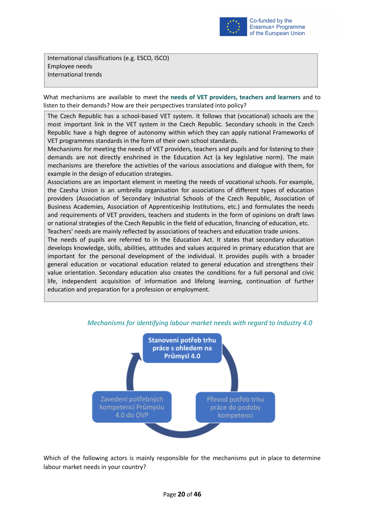

International classifications (e.g. ESCO, ISCO) Employee needs International trends

What mechanisms are available to meet the **needs of VET providers, teachers and learners** and to listen to their demands? How are their perspectives translated into policy?

The Czech Republic has a school-based VET system. It follows that (vocational) schools are the most important link in the VET system in the Czech Republic. Secondary schools in the Czech Republic have a high degree of autonomy within which they can apply national Frameworks of VET programmes standards in the form of their own school standards.

Mechanisms for meeting the needs of VET providers, teachers and pupils and for listening to their demands are not directly enshrined in the Education Act (a key legislative norm). The main mechanisms are therefore the activities of the various associations and dialogue with them, for example in the design of education strategies.

Associations are an important element in meeting the needs of vocational schools. For example, the Czesha Union is an umbrella organisation for associations of different types of education providers (Association of Secondary Industrial Schools of the Czech Republic, Association of Business Academies, Association of Apprenticeship Institutions, etc.) and formulates the needs and requirements of VET providers, teachers and students in the form of opinions on draft laws or national strategies of the Czech Republic in the field of education, financing of education, etc. Teachers' needs are mainly reflected by associations of teachers and education trade unions.

The needs of pupils are referred to in the Education Act. It states that secondary education develops knowledge, skills, abilities, attitudes and values acquired in primary education that are important for the personal development of the individual. It provides pupils with a broader general education or vocational education related to general education and strengthens their value orientation. Secondary education also creates the conditions for a full personal and civic life, independent acquisition of information and lifelong learning, continuation of further education and preparation for a profession or employment.



## <span id="page-19-0"></span>*Mechanisms for identifying labour market needs with regard to Industry 4.0*

Which of the following actors is mainly responsible for the mechanisms put in place to determine labour market needs in your country?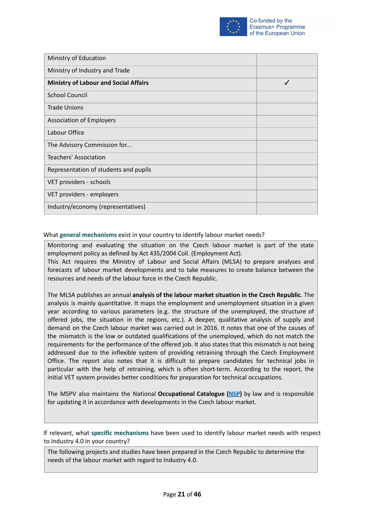

| Ministry of Education                        |   |
|----------------------------------------------|---|
| Ministry of Industry and Trade               |   |
| <b>Ministry of Labour and Social Affairs</b> | ✓ |
| <b>School Council</b>                        |   |
| <b>Trade Unions</b>                          |   |
| <b>Association of Employers</b>              |   |
| Labour Office                                |   |
| The Advisory Commission for                  |   |
| Teachers' Association                        |   |
| Representation of students and pupils        |   |
| VET providers - schools                      |   |
| VET providers - employers                    |   |
| Industry/economy (representatives)           |   |

#### What **general mechanisms** exist in your country to identify labour market needs?

Monitoring and evaluating the situation on the Czech labour market is part of the state employment policy as defined by Act 435/2004 Coll. (Employment Act).

This Act requires the Ministry of Labour and Social Affairs (MLSA) to prepare analyses and forecasts of labour market developments and to take measures to create balance between the resources and needs of the labour force in the Czech Republic.

The MLSA publishes an annual **analysis of the labour market situation in the Czech Republic**. The analysis is mainly quantitative. It maps the employment and unemployment situation in a given year according to various parameters (e.g. the structure of the unemployed, the structure of offered jobs, the situation in the regions, etc.). A deeper, qualitative analysis of supply and demand on the Czech labour market was carried out in 2016. It notes that one of the causes of the mismatch is the low or outdated qualifications of the unemployed, which do not match the requirements for the performance of the offered job. It also states that this mismatch is not being addressed due to the inflexible system of providing retraining through the Czech Employment Office. The report also notes that it is difficult to prepare candidates for technical jobs in particular with the help of retraining, which is often short-term. According to the report, the initial VET system provides better conditions for preparation for technical occupations.

The MSPV also maintains the National **Occupational Catalogue ([NSP\)](http://www.nsp.cz)** by law and is responsible for updating it in accordance with developments in the Czech labour market.

If relevant, what **specific mechanisms** have been used to identify labour market needs with respect to Industry 4.0 in your country?

The following projects and studies have been prepared in the Czech Republic to determine the needs of the labour market with regard to Industry 4.0.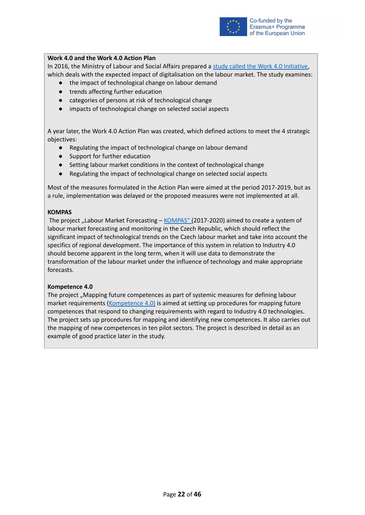

#### **Work 4.0 and the Work 4.0 Action Plan**

In 2016, the Ministry of Labour and Social Affairs prepared a study called the Work 4.0 [Initiative,](https://www.mpsv.cz/web/cz/prace-4.0) which deals with the expected impact of digitalisation on the labour market. The study examines:

- the impact of technological change on labour demand
- trends affecting further education
- categories of persons at risk of technological change
- impacts of technological change on selected social aspects

A year later, the Work 4.0 Action Plan was created, which defined actions to meet the 4 strategic objectives:

- Regulating the impact of technological change on labour demand
- Support for further education
- Setting labour market conditions in the context of technological change
- Regulating the impact of technological change on selected social aspects

Most of the measures formulated in the Action Plan were aimed at the period 2017-2019, but as a rule, implementation was delayed or the proposed measures were not implemented at all.

#### **KOMPAS**

The project "Labour Market Forecasting - [KOMPAS"](https://www.predikcetrhuprace.cz/) (2017-2020) aimed to create a system of labour market forecasting and monitoring in the Czech Republic, which should reflect the significant impact of technological trends on the Czech labour market and take into account the specifics of regional development. The importance of this system in relation to Industry 4.0 should become apparent in the long term, when it will use data to demonstrate the transformation of the labour market under the influence of technology and make appropriate forecasts.

#### **Kompetence 4.0**

The project "Mapping future competences as part of systemic measures for defining labour market requirements (*[Kompetence](https://www.mpsv.cz/kompetence) 4.0*) is aimed at setting up procedures for mapping future competences that respond to changing requirements with regard to Industry 4.0 technologies. The project sets up procedures for mapping and identifying new competences. It also carries out the mapping of new competences in ten pilot sectors. The project is described in detail as an example of good practice later in the study.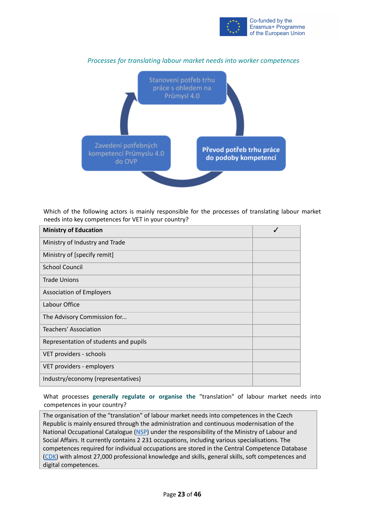

<span id="page-22-0"></span>

*Processes for translating labour market needs into worker competences*

Which of the following actors is mainly responsible for the processes of translating labour market needs into key competences for VET in your country?

| <b>Ministry of Education</b>          |  |
|---------------------------------------|--|
| Ministry of Industry and Trade        |  |
| Ministry of [specify remit]           |  |
| <b>School Council</b>                 |  |
| <b>Trade Unions</b>                   |  |
| <b>Association of Employers</b>       |  |
| Labour Office                         |  |
| The Advisory Commission for           |  |
| <b>Teachers' Association</b>          |  |
| Representation of students and pupils |  |
| VET providers - schools               |  |
| VET providers - employers             |  |
| Industry/economy (representatives)    |  |

What processes **generally regulate or organise the** "translation" of labour market needs into competences in your country?

The organisation of the "translation" of labour market needs into competences in the Czech Republic is mainly ensured through the administration and continuous modernisation of the National Occupational Catalogue [\(NSP](http://www.nsp.cz)) under the responsibility of the Ministry of Labour and Social Affairs. It currently contains 2 231 occupations, including various specialisations. The competences required for individual occupations are stored in the Central Competence Database [\(CDK\)](https://cdk.nsp.cz/) with almost 27,000 professional knowledge and skills, general skills, soft competences and digital competences.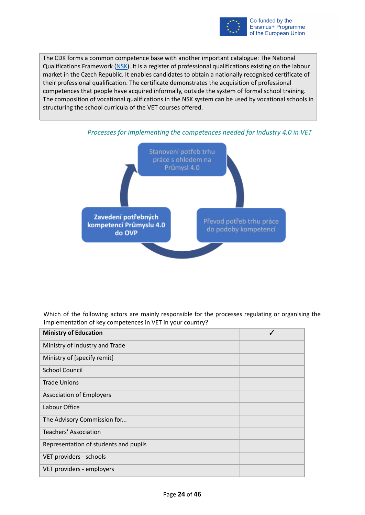

The CDK forms a common competence base with another important catalogue: The National Qualifications Framework [\(NSK\)](http://www.narodnikvalifikace.cz). It is a register of professional qualifications existing on the labour market in the Czech Republic. It enables candidates to obtain a nationally recognised certificate of their professional qualification. The certificate demonstrates the acquisition of professional competences that people have acquired informally, outside the system of formal school training. The composition of vocational qualifications in the NSK system can be used by vocational schools in structuring the school curricula of the VET courses offered.



<span id="page-23-0"></span>

Which of the following actors are mainly responsible for the processes regulating or organising the implementation of key competences in VET in your country?

| <b>Ministry of Education</b>          |  |
|---------------------------------------|--|
| Ministry of Industry and Trade        |  |
| Ministry of [specify remit]           |  |
| <b>School Council</b>                 |  |
| <b>Trade Unions</b>                   |  |
| <b>Association of Employers</b>       |  |
| Labour Office                         |  |
| The Advisory Commission for           |  |
| Teachers' Association                 |  |
| Representation of students and pupils |  |
| VET providers - schools               |  |
| VET providers - employers             |  |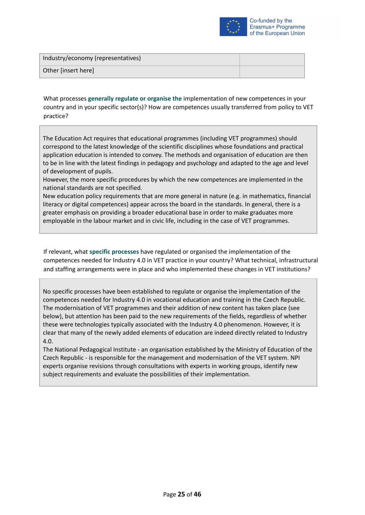

| Industry/economy (representatives) |  |
|------------------------------------|--|
| Other [insert here]                |  |

What processes **generally regulate or organise the** implementation of new competences in your country and in your specific sector(s)? How are competences usually transferred from policy to VET practice?

The Education Act requires that educational programmes (including VET programmes) should correspond to the latest knowledge of the scientific disciplines whose foundations and practical application education is intended to convey. The methods and organisation of education are then to be in line with the latest findings in pedagogy and psychology and adapted to the age and level of development of pupils.

However, the more specific procedures by which the new competences are implemented in the national standards are not specified.

New education policy requirements that are more general in nature (e.g. in mathematics, financial literacy or digital competences) appear across the board in the standards. In general, there is a greater emphasis on providing a broader educational base in order to make graduates more employable in the labour market and in civic life, including in the case of VET programmes.

If relevant, what **specific processes** have regulated or organised the implementation of the competences needed for Industry 4.0 in VET practice in your country? What technical, infrastructural and staffing arrangements were in place and who implemented these changes in VET institutions?

No specific processes have been established to regulate or organise the implementation of the competences needed for Industry 4.0 in vocational education and training in the Czech Republic. The modernisation of VET programmes and their addition of new content has taken place (see below), but attention has been paid to the new requirements of the fields, regardless of whether these were technologies typically associated with the Industry 4.0 phenomenon. However, it is clear that many of the newly added elements of education are indeed directly related to Industry 4.0.

The National Pedagogical Institute - an organisation established by the Ministry of Education of the Czech Republic - is responsible for the management and modernisation of the VET system. NPI experts organise revisions through consultations with experts in working groups, identify new subject requirements and evaluate the possibilities of their implementation.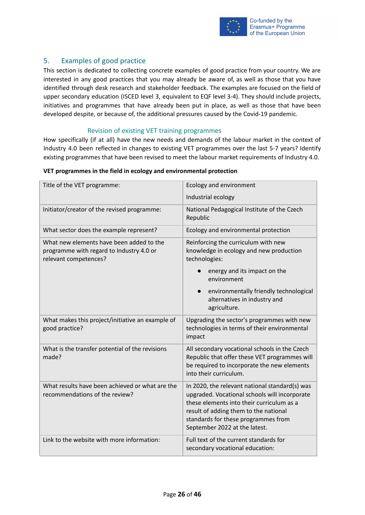

# <span id="page-25-0"></span>5. Examples of good practice

This section is dedicated to collecting concrete examples of good practice from your country. We are interested in any good practices that you may already be aware of, as well as those that you have identified through desk research and stakeholder feedback. The examples are focused on the field of upper secondary education (ISCED level 3, equivalent to EQF level 3-4). They should include projects, initiatives and programmes that have already been put in place, as well as those that have been developed despite, or because of, the additional pressures caused by the Covid-19 pandemic.

#### Revision of existing VET training programmes

<span id="page-25-1"></span>How specifically (if at all) have the new needs and demands of the labour market in the context of Industry 4.0 been reflected in changes to existing VET programmes over the last 5-7 years? Identify existing programmes that have been revised to meet the labour market requirements of Industry 4.0.

| Title of the VET programme:                                                                                   | Ecology and environment                                                                                                                                                                                                                                       |
|---------------------------------------------------------------------------------------------------------------|---------------------------------------------------------------------------------------------------------------------------------------------------------------------------------------------------------------------------------------------------------------|
|                                                                                                               | Industrial ecology                                                                                                                                                                                                                                            |
| Initiator/creator of the revised programme:                                                                   | National Pedagogical Institute of the Czech<br>Republic                                                                                                                                                                                                       |
| What sector does the example represent?                                                                       | Ecology and environmental protection                                                                                                                                                                                                                          |
| What new elements have been added to the<br>programme with regard to Industry 4.0 or<br>relevant competences? | Reinforcing the curriculum with new<br>knowledge in ecology and new production<br>technologies:<br>energy and its impact on the<br>environment<br>environmentally friendly technological<br>alternatives in industry and                                      |
|                                                                                                               | agriculture.                                                                                                                                                                                                                                                  |
| What makes this project/initiative an example of<br>good practice?                                            | Upgrading the sector's programmes with new<br>technologies in terms of their environmental<br>impact                                                                                                                                                          |
| What is the transfer potential of the revisions<br>made?                                                      | All secondary vocational schools in the Czech<br>Republic that offer these VET programmes will<br>be required to incorporate the new elements<br>into their curriculum.                                                                                       |
| What results have been achieved or what are the<br>recommendations of the review?                             | In 2020, the relevant national standard(s) was<br>upgraded. Vocational schools will incorporate<br>these elements into their curriculum as a<br>result of adding them to the national<br>standards for these programmes from<br>September 2022 at the latest. |
| Link to the website with more information:                                                                    | Full text of the current standards for<br>secondary vocational education:                                                                                                                                                                                     |

#### **VET programmes in the field in ecology and environmental protection**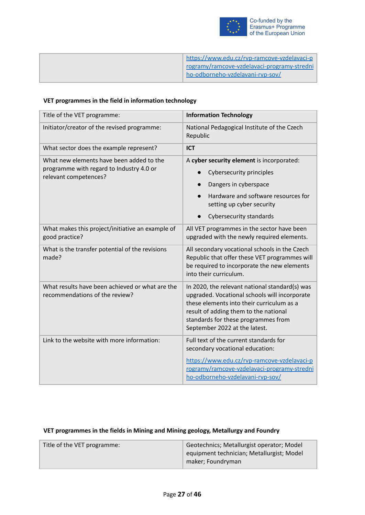

| https://www.edu.cz/ryp-ramcove-yzdelayaci-p |
|---------------------------------------------|
| rogramy/ramcove-vzdelavaci-programy-stredni |
| ho-odborneho-vzdelavani-rvp-sov/            |
|                                             |

# **VET programmes in the field in information technology**

| Title of the VET programme:                                                                                   | <b>Information Technology</b>                                                                                                                                                                                                                                 |
|---------------------------------------------------------------------------------------------------------------|---------------------------------------------------------------------------------------------------------------------------------------------------------------------------------------------------------------------------------------------------------------|
| Initiator/creator of the revised programme:                                                                   | National Pedagogical Institute of the Czech<br>Republic                                                                                                                                                                                                       |
| What sector does the example represent?                                                                       | <b>ICT</b>                                                                                                                                                                                                                                                    |
| What new elements have been added to the<br>programme with regard to Industry 4.0 or<br>relevant competences? | A cyber security element is incorporated:<br>Cybersecurity principles<br>Dangers in cyberspace<br>$\bullet$<br>Hardware and software resources for<br>setting up cyber security<br>Cybersecurity standards                                                    |
| What makes this project/initiative an example of<br>good practice?                                            | All VET programmes in the sector have been<br>upgraded with the newly required elements.                                                                                                                                                                      |
| What is the transfer potential of the revisions<br>made?                                                      | All secondary vocational schools in the Czech<br>Republic that offer these VET programmes will<br>be required to incorporate the new elements<br>into their curriculum.                                                                                       |
| What results have been achieved or what are the<br>recommendations of the review?                             | In 2020, the relevant national standard(s) was<br>upgraded. Vocational schools will incorporate<br>these elements into their curriculum as a<br>result of adding them to the national<br>standards for these programmes from<br>September 2022 at the latest. |
| Link to the website with more information:                                                                    | Full text of the current standards for<br>secondary vocational education:<br>https://www.edu.cz/rvp-ramcove-vzdelavaci-p<br>rogramy/ramcove-vzdelavaci-programy-stredni<br>ho-odborneho-vzdelavani-rvp-sov/                                                   |

#### **VET programmes in the fields in Mining and Mining geology, Metallurgy and Foundry**

| Title of the VET programme: | Geotechnics; Metallurgist operator; Model |
|-----------------------------|-------------------------------------------|
|                             | equipment technician; Metallurgist; Model |
|                             | maker; Foundryman                         |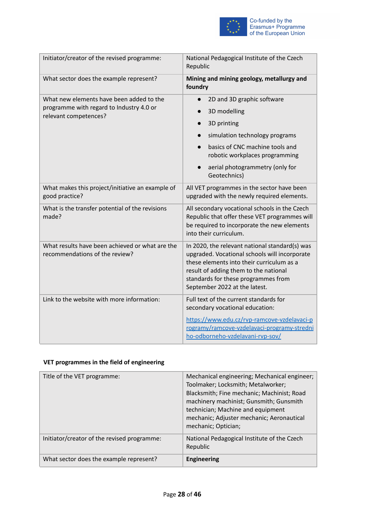

| Initiator/creator of the revised programme:                                          | National Pedagogical Institute of the Czech<br>Republic                                                                                                                                                                                                       |
|--------------------------------------------------------------------------------------|---------------------------------------------------------------------------------------------------------------------------------------------------------------------------------------------------------------------------------------------------------------|
| What sector does the example represent?                                              | Mining and mining geology, metallurgy and<br>foundry                                                                                                                                                                                                          |
| What new elements have been added to the<br>programme with regard to Industry 4.0 or | 2D and 3D graphic software<br>3D modelling<br>$\bullet$                                                                                                                                                                                                       |
| relevant competences?                                                                | 3D printing<br>$\bullet$                                                                                                                                                                                                                                      |
|                                                                                      | simulation technology programs<br>$\bullet$                                                                                                                                                                                                                   |
|                                                                                      | basics of CNC machine tools and<br>$\bullet$<br>robotic workplaces programming                                                                                                                                                                                |
|                                                                                      | aerial photogrammetry (only for<br>$\bullet$<br>Geotechnics)                                                                                                                                                                                                  |
| What makes this project/initiative an example of<br>good practice?                   | All VET programmes in the sector have been<br>upgraded with the newly required elements.                                                                                                                                                                      |
| What is the transfer potential of the revisions<br>made?                             | All secondary vocational schools in the Czech<br>Republic that offer these VET programmes will<br>be required to incorporate the new elements<br>into their curriculum.                                                                                       |
| What results have been achieved or what are the<br>recommendations of the review?    | In 2020, the relevant national standard(s) was<br>upgraded. Vocational schools will incorporate<br>these elements into their curriculum as a<br>result of adding them to the national<br>standards for these programmes from<br>September 2022 at the latest. |
| Link to the website with more information:                                           | Full text of the current standards for<br>secondary vocational education:                                                                                                                                                                                     |
|                                                                                      | https://www.edu.cz/rvp-ramcove-vzdelavaci-p<br>rogramy/ramcove-vzdelavaci-programy-stredni<br>ho-odborneho-vzdelavani-rvp-sov/                                                                                                                                |

# **VET programmes in the field of engineering**

| Title of the VET programme:                 | Mechanical engineering; Mechanical engineer;<br>Toolmaker; Locksmith; Metalworker;<br>Blacksmith; Fine mechanic; Machinist; Road<br>machinery machinist; Gunsmith; Gunsmith<br>technician; Machine and equipment<br>mechanic; Adjuster mechanic; Aeronautical<br>mechanic; Optician; |
|---------------------------------------------|--------------------------------------------------------------------------------------------------------------------------------------------------------------------------------------------------------------------------------------------------------------------------------------|
| Initiator/creator of the revised programme: | National Pedagogical Institute of the Czech<br>Republic                                                                                                                                                                                                                              |
| What sector does the example represent?     | <b>Engineering</b>                                                                                                                                                                                                                                                                   |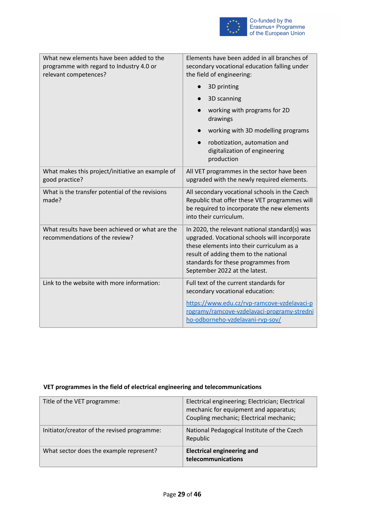

| What new elements have been added to the<br>programme with regard to Industry 4.0 or<br>relevant competences? | Elements have been added in all branches of<br>secondary vocational education falling under<br>the field of engineering:                                                                                                                                      |
|---------------------------------------------------------------------------------------------------------------|---------------------------------------------------------------------------------------------------------------------------------------------------------------------------------------------------------------------------------------------------------------|
|                                                                                                               | 3D printing                                                                                                                                                                                                                                                   |
|                                                                                                               | 3D scanning<br>$\bullet$                                                                                                                                                                                                                                      |
|                                                                                                               | working with programs for 2D<br>drawings                                                                                                                                                                                                                      |
|                                                                                                               | working with 3D modelling programs                                                                                                                                                                                                                            |
|                                                                                                               | robotization, automation and<br>$\bullet$<br>digitalization of engineering<br>production                                                                                                                                                                      |
| What makes this project/initiative an example of<br>good practice?                                            | All VET programmes in the sector have been<br>upgraded with the newly required elements.                                                                                                                                                                      |
| What is the transfer potential of the revisions<br>made?                                                      | All secondary vocational schools in the Czech<br>Republic that offer these VET programmes will<br>be required to incorporate the new elements<br>into their curriculum.                                                                                       |
| What results have been achieved or what are the<br>recommendations of the review?                             | In 2020, the relevant national standard(s) was<br>upgraded. Vocational schools will incorporate<br>these elements into their curriculum as a<br>result of adding them to the national<br>standards for these programmes from<br>September 2022 at the latest. |
| Link to the website with more information:                                                                    | Full text of the current standards for<br>secondary vocational education:                                                                                                                                                                                     |
|                                                                                                               | https://www.edu.cz/rvp-ramcove-vzdelavaci-p<br>rogramy/ramcove-vzdelavaci-programy-stredni<br>ho-odborneho-vzdelavani-rvp-sov/                                                                                                                                |

# **VET programmes in the field of electrical engineering and telecommunications**

| Title of the VET programme:                 | Electrical engineering; Electrician; Electrical<br>mechanic for equipment and apparatus;<br>Coupling mechanic; Electrical mechanic; |
|---------------------------------------------|-------------------------------------------------------------------------------------------------------------------------------------|
| Initiator/creator of the revised programme: | National Pedagogical Institute of the Czech<br>Republic                                                                             |
| What sector does the example represent?     | <b>Electrical engineering and</b><br>telecommunications                                                                             |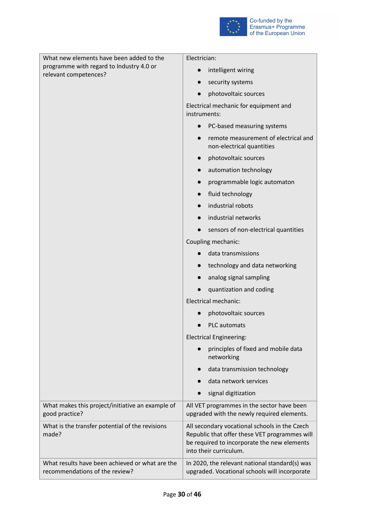

| What new elements have been added to the                                          | Electrician:                                                                                                                                                            |
|-----------------------------------------------------------------------------------|-------------------------------------------------------------------------------------------------------------------------------------------------------------------------|
| programme with regard to Industry 4.0 or<br>relevant competences?                 | intelligent wiring<br>$\bullet$                                                                                                                                         |
|                                                                                   | security systems<br>$\bullet$                                                                                                                                           |
|                                                                                   | photovoltaic sources<br>$\bullet$                                                                                                                                       |
|                                                                                   | Electrical mechanic for equipment and<br>instruments:                                                                                                                   |
|                                                                                   | PC-based measuring systems<br>$\bullet$                                                                                                                                 |
|                                                                                   | remote measurement of electrical and<br>$\bullet$<br>non-electrical quantities                                                                                          |
|                                                                                   | photovoltaic sources<br>$\bullet$                                                                                                                                       |
|                                                                                   | automation technology<br>$\bullet$                                                                                                                                      |
|                                                                                   | programmable logic automaton<br>$\bullet$                                                                                                                               |
|                                                                                   | fluid technology<br>$\bullet$                                                                                                                                           |
|                                                                                   | industrial robots<br>$\bullet$                                                                                                                                          |
|                                                                                   | industrial networks<br>$\bullet$                                                                                                                                        |
|                                                                                   | sensors of non-electrical quantities                                                                                                                                    |
|                                                                                   | Coupling mechanic:                                                                                                                                                      |
|                                                                                   | data transmissions                                                                                                                                                      |
|                                                                                   | technology and data networking<br>$\bullet$                                                                                                                             |
|                                                                                   | analog signal sampling<br>$\bullet$                                                                                                                                     |
|                                                                                   | quantization and coding                                                                                                                                                 |
|                                                                                   | Electrical mechanic:                                                                                                                                                    |
|                                                                                   | photovoltaic sources                                                                                                                                                    |
|                                                                                   | <b>PLC</b> automats                                                                                                                                                     |
|                                                                                   | <b>Electrical Engineering:</b>                                                                                                                                          |
|                                                                                   | principles of fixed and mobile data<br>networking                                                                                                                       |
|                                                                                   | data transmission technology                                                                                                                                            |
|                                                                                   | data network services                                                                                                                                                   |
|                                                                                   | signal digitization                                                                                                                                                     |
| What makes this project/initiative an example of<br>good practice?                | All VET programmes in the sector have been<br>upgraded with the newly required elements.                                                                                |
| What is the transfer potential of the revisions<br>made?                          | All secondary vocational schools in the Czech<br>Republic that offer these VET programmes will<br>be required to incorporate the new elements<br>into their curriculum. |
| What results have been achieved or what are the<br>recommendations of the review? | In 2020, the relevant national standard(s) was<br>upgraded. Vocational schools will incorporate                                                                         |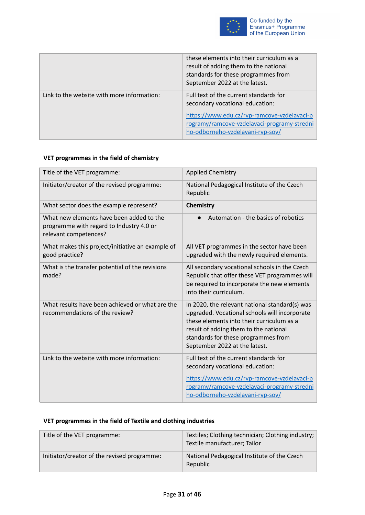

|                                            | these elements into their curriculum as a<br>result of adding them to the national<br>standards for these programmes from<br>September 2022 at the latest.                                                  |
|--------------------------------------------|-------------------------------------------------------------------------------------------------------------------------------------------------------------------------------------------------------------|
| Link to the website with more information: | Full text of the current standards for<br>secondary vocational education:<br>https://www.edu.cz/rvp-ramcove-vzdelavaci-p<br>rogramy/ramcove-vzdelavaci-programy-stredni<br>ho-odborneho-vzdelavani-rvp-sov/ |

# **VET programmes in the field of chemistry**

| Title of the VET programme:                                                                                   | <b>Applied Chemistry</b>                                                                                                                                                                                                                                      |
|---------------------------------------------------------------------------------------------------------------|---------------------------------------------------------------------------------------------------------------------------------------------------------------------------------------------------------------------------------------------------------------|
| Initiator/creator of the revised programme:                                                                   | National Pedagogical Institute of the Czech<br>Republic                                                                                                                                                                                                       |
| What sector does the example represent?                                                                       | <b>Chemistry</b>                                                                                                                                                                                                                                              |
| What new elements have been added to the<br>programme with regard to Industry 4.0 or<br>relevant competences? | Automation - the basics of robotics<br>$\bullet$                                                                                                                                                                                                              |
| What makes this project/initiative an example of<br>good practice?                                            | All VET programmes in the sector have been<br>upgraded with the newly required elements.                                                                                                                                                                      |
| What is the transfer potential of the revisions<br>made?                                                      | All secondary vocational schools in the Czech<br>Republic that offer these VET programmes will<br>be required to incorporate the new elements<br>into their curriculum.                                                                                       |
| What results have been achieved or what are the<br>recommendations of the review?                             | In 2020, the relevant national standard(s) was<br>upgraded. Vocational schools will incorporate<br>these elements into their curriculum as a<br>result of adding them to the national<br>standards for these programmes from<br>September 2022 at the latest. |
| Link to the website with more information:                                                                    | Full text of the current standards for<br>secondary vocational education:<br>https://www.edu.cz/rvp-ramcove-vzdelavaci-p<br>rogramy/ramcove-vzdelavaci-programy-stredni<br>ho-odborneho-vzdelavani-rvp-sov/                                                   |

# **VET programmes in the field of Textile and clothing industries**

| Title of the VET programme:                 | Textiles; Clothing technician; Clothing industry;<br>Textile manufacturer; Tailor |
|---------------------------------------------|-----------------------------------------------------------------------------------|
| Initiator/creator of the revised programme: | National Pedagogical Institute of the Czech<br>Republic                           |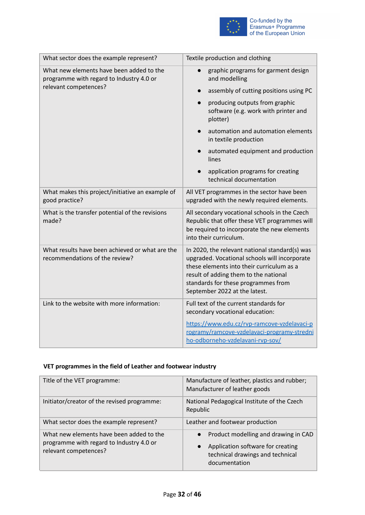

| What sector does the example represent?                                              | Textile production and clothing                                                                                                                                                                                                                               |
|--------------------------------------------------------------------------------------|---------------------------------------------------------------------------------------------------------------------------------------------------------------------------------------------------------------------------------------------------------------|
| What new elements have been added to the<br>programme with regard to Industry 4.0 or | graphic programs for garment design<br>$\bullet$<br>and modelling                                                                                                                                                                                             |
| relevant competences?                                                                | assembly of cutting positions using PC<br>$\bullet$                                                                                                                                                                                                           |
|                                                                                      | producing outputs from graphic<br>$\bullet$<br>software (e.g. work with printer and<br>plotter)                                                                                                                                                               |
|                                                                                      | automation and automation elements<br>in textile production                                                                                                                                                                                                   |
|                                                                                      | automated equipment and production<br>$\bullet$<br>lines                                                                                                                                                                                                      |
|                                                                                      | application programs for creating<br>technical documentation                                                                                                                                                                                                  |
| What makes this project/initiative an example of<br>good practice?                   | All VET programmes in the sector have been<br>upgraded with the newly required elements.                                                                                                                                                                      |
| What is the transfer potential of the revisions<br>made?                             | All secondary vocational schools in the Czech<br>Republic that offer these VET programmes will<br>be required to incorporate the new elements<br>into their curriculum.                                                                                       |
| What results have been achieved or what are the<br>recommendations of the review?    | In 2020, the relevant national standard(s) was<br>upgraded. Vocational schools will incorporate<br>these elements into their curriculum as a<br>result of adding them to the national<br>standards for these programmes from<br>September 2022 at the latest. |
| Link to the website with more information:                                           | Full text of the current standards for<br>secondary vocational education:<br>https://www.edu.cz/rvp-ramcove-vzdelavaci-p                                                                                                                                      |
|                                                                                      | rogramy/ramcove-vzdelavaci-programy-stredni<br>ho-odborneho-vzdelavani-rvp-sov/                                                                                                                                                                               |

# **VET programmes in the field of Leather and footwear industry**

| Title of the VET programme:                                                                                   | Manufacture of leather, plastics and rubber;<br>Manufacturer of leather goods                                                  |
|---------------------------------------------------------------------------------------------------------------|--------------------------------------------------------------------------------------------------------------------------------|
| Initiator/creator of the revised programme:                                                                   | National Pedagogical Institute of the Czech<br>Republic                                                                        |
| What sector does the example represent?                                                                       | Leather and footwear production                                                                                                |
| What new elements have been added to the<br>programme with regard to Industry 4.0 or<br>relevant competences? | Product modelling and drawing in CAD<br>Application software for creating<br>technical drawings and technical<br>documentation |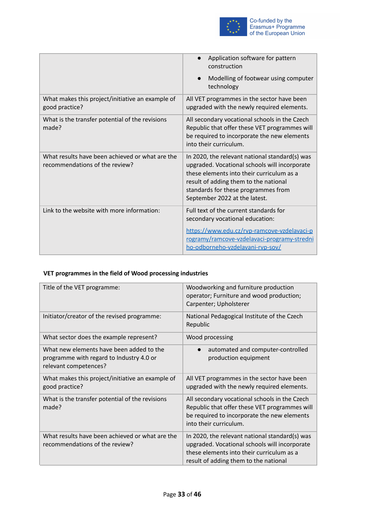

|                                                                                   | Application software for pattern<br>construction                                                                                                                                                                                                              |
|-----------------------------------------------------------------------------------|---------------------------------------------------------------------------------------------------------------------------------------------------------------------------------------------------------------------------------------------------------------|
|                                                                                   | Modelling of footwear using computer<br>technology                                                                                                                                                                                                            |
| What makes this project/initiative an example of<br>good practice?                | All VET programmes in the sector have been<br>upgraded with the newly required elements.                                                                                                                                                                      |
| What is the transfer potential of the revisions<br>made?                          | All secondary vocational schools in the Czech<br>Republic that offer these VET programmes will<br>be required to incorporate the new elements<br>into their curriculum.                                                                                       |
| What results have been achieved or what are the<br>recommendations of the review? | In 2020, the relevant national standard(s) was<br>upgraded. Vocational schools will incorporate<br>these elements into their curriculum as a<br>result of adding them to the national<br>standards for these programmes from<br>September 2022 at the latest. |
| Link to the website with more information:                                        | Full text of the current standards for<br>secondary vocational education:<br>https://www.edu.cz/rvp-ramcove-vzdelavaci-p<br>rogramy/ramcove-vzdelavaci-programy-stredni<br>ho-odborneho-vzdelavani-rvp-sov/                                                   |

# **VET programmes in the field of Wood processing industries**

| Title of the VET programme:                                                                                   | Woodworking and furniture production<br>operator; Furniture and wood production;<br>Carpenter; Upholsterer                                                                            |
|---------------------------------------------------------------------------------------------------------------|---------------------------------------------------------------------------------------------------------------------------------------------------------------------------------------|
| Initiator/creator of the revised programme:                                                                   | National Pedagogical Institute of the Czech<br>Republic                                                                                                                               |
| What sector does the example represent?                                                                       | Wood processing                                                                                                                                                                       |
| What new elements have been added to the<br>programme with regard to Industry 4.0 or<br>relevant competences? | automated and computer-controlled<br>production equipment                                                                                                                             |
| What makes this project/initiative an example of<br>good practice?                                            | All VET programmes in the sector have been<br>upgraded with the newly required elements.                                                                                              |
| What is the transfer potential of the revisions<br>made?                                                      | All secondary vocational schools in the Czech<br>Republic that offer these VET programmes will<br>be required to incorporate the new elements<br>into their curriculum.               |
| What results have been achieved or what are the<br>recommendations of the review?                             | In 2020, the relevant national standard(s) was<br>upgraded. Vocational schools will incorporate<br>these elements into their curriculum as a<br>result of adding them to the national |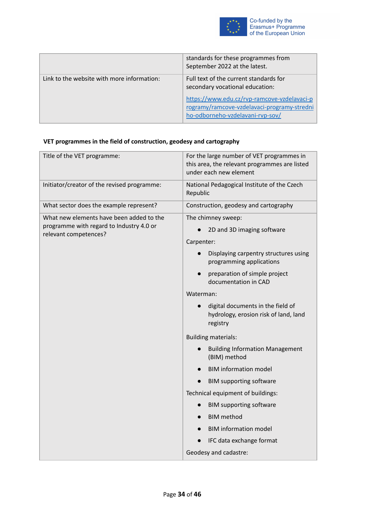

|                                            | standards for these programmes from<br>September 2022 at the latest.                                                           |
|--------------------------------------------|--------------------------------------------------------------------------------------------------------------------------------|
| Link to the website with more information: | Full text of the current standards for<br>secondary vocational education:                                                      |
|                                            | https://www.edu.cz/rvp-ramcove-vzdelavaci-p<br>rogramy/ramcove-vzdelavaci-programy-stredni<br>ho-odborneho-vzdelavani-rvp-sov/ |

# **VET programmes in the field of construction, geodesy and cartography**

| Title of the VET programme:                                                                                   | For the large number of VET programmes in<br>this area, the relevant programmes are listed<br>under each new element |
|---------------------------------------------------------------------------------------------------------------|----------------------------------------------------------------------------------------------------------------------|
| Initiator/creator of the revised programme:                                                                   | National Pedagogical Institute of the Czech<br>Republic                                                              |
| What sector does the example represent?                                                                       | Construction, geodesy and cartography                                                                                |
| What new elements have been added to the<br>programme with regard to Industry 4.0 or<br>relevant competences? | The chimney sweep:<br>2D and 3D imaging software<br>$\bullet$<br>Carpenter:                                          |
|                                                                                                               | Displaying carpentry structures using<br>$\bullet$<br>programming applications                                       |
|                                                                                                               | preparation of simple project<br>$\bullet$<br>documentation in CAD                                                   |
|                                                                                                               | Waterman:                                                                                                            |
|                                                                                                               | digital documents in the field of<br>$\bullet$<br>hydrology, erosion risk of land, land<br>registry                  |
|                                                                                                               | <b>Building materials:</b>                                                                                           |
|                                                                                                               | <b>Building Information Management</b><br>(BIM) method                                                               |
|                                                                                                               | <b>BIM information model</b><br>$\bullet$                                                                            |
|                                                                                                               | <b>BIM supporting software</b>                                                                                       |
|                                                                                                               | Technical equipment of buildings:                                                                                    |
|                                                                                                               | <b>BIM supporting software</b><br>$\bullet$                                                                          |
|                                                                                                               | <b>BIM</b> method                                                                                                    |
|                                                                                                               | <b>BIM information model</b>                                                                                         |
|                                                                                                               | IFC data exchange format<br>$\bullet$                                                                                |
|                                                                                                               | Geodesy and cadastre:                                                                                                |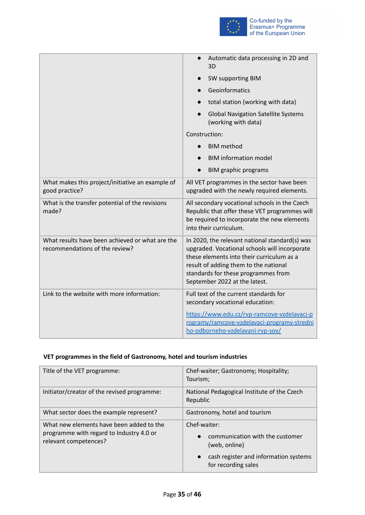

|                                                                                   | Automatic data processing in 2D and<br>3D                                                                                                                                                                                                                     |
|-----------------------------------------------------------------------------------|---------------------------------------------------------------------------------------------------------------------------------------------------------------------------------------------------------------------------------------------------------------|
|                                                                                   | SW supporting BIM<br>$\bullet$                                                                                                                                                                                                                                |
|                                                                                   | Geoinformatics                                                                                                                                                                                                                                                |
|                                                                                   | total station (working with data)                                                                                                                                                                                                                             |
|                                                                                   | <b>Global Navigation Satellite Systems</b><br>(working with data)                                                                                                                                                                                             |
|                                                                                   | Construction:                                                                                                                                                                                                                                                 |
|                                                                                   | <b>BIM</b> method<br>$\bullet$                                                                                                                                                                                                                                |
|                                                                                   | <b>BIM information model</b>                                                                                                                                                                                                                                  |
|                                                                                   | <b>BIM graphic programs</b><br>$\bullet$                                                                                                                                                                                                                      |
| What makes this project/initiative an example of<br>good practice?                | All VET programmes in the sector have been<br>upgraded with the newly required elements.                                                                                                                                                                      |
| What is the transfer potential of the revisions<br>made?                          | All secondary vocational schools in the Czech<br>Republic that offer these VET programmes will<br>be required to incorporate the new elements<br>into their curriculum.                                                                                       |
| What results have been achieved or what are the<br>recommendations of the review? | In 2020, the relevant national standard(s) was<br>upgraded. Vocational schools will incorporate<br>these elements into their curriculum as a<br>result of adding them to the national<br>standards for these programmes from<br>September 2022 at the latest. |
| Link to the website with more information:                                        | Full text of the current standards for<br>secondary vocational education:                                                                                                                                                                                     |
|                                                                                   | https://www.edu.cz/rvp-ramcove-vzdelavaci-p<br>rogramy/ramcove-vzdelavaci-programy-stredni<br>ho-odborneho-vzdelavani-rvp-sov/                                                                                                                                |

# **VET programmes in the field of Gastronomy, hotel and tourism industries**

| Title of the VET programme:                                                                                   | Chef-waiter; Gastronomy; Hospitality;<br>Tourism;                                                                                |
|---------------------------------------------------------------------------------------------------------------|----------------------------------------------------------------------------------------------------------------------------------|
| Initiator/creator of the revised programme:                                                                   | National Pedagogical Institute of the Czech<br>Republic                                                                          |
| What sector does the example represent?                                                                       | Gastronomy, hotel and tourism                                                                                                    |
| What new elements have been added to the<br>programme with regard to Industry 4.0 or<br>relevant competences? | Chef-waiter:<br>communication with the customer<br>(web, online)<br>cash register and information systems<br>for recording sales |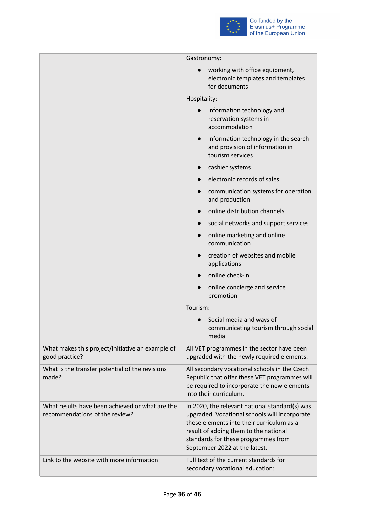

|                                                                                   | Gastronomy:                                                                                                                                                                                                                                                   |
|-----------------------------------------------------------------------------------|---------------------------------------------------------------------------------------------------------------------------------------------------------------------------------------------------------------------------------------------------------------|
|                                                                                   | working with office equipment,<br>electronic templates and templates<br>for documents                                                                                                                                                                         |
|                                                                                   | Hospitality:                                                                                                                                                                                                                                                  |
|                                                                                   | information technology and<br>reservation systems in<br>accommodation                                                                                                                                                                                         |
|                                                                                   | information technology in the search<br>$\bullet$<br>and provision of information in<br>tourism services                                                                                                                                                      |
|                                                                                   | cashier systems                                                                                                                                                                                                                                               |
|                                                                                   | electronic records of sales                                                                                                                                                                                                                                   |
|                                                                                   | communication systems for operation<br>and production                                                                                                                                                                                                         |
|                                                                                   | online distribution channels                                                                                                                                                                                                                                  |
|                                                                                   | social networks and support services                                                                                                                                                                                                                          |
|                                                                                   | online marketing and online<br>communication                                                                                                                                                                                                                  |
|                                                                                   | creation of websites and mobile<br>applications                                                                                                                                                                                                               |
|                                                                                   | online check-in                                                                                                                                                                                                                                               |
|                                                                                   | online concierge and service<br>promotion                                                                                                                                                                                                                     |
|                                                                                   | Tourism:                                                                                                                                                                                                                                                      |
|                                                                                   | Social media and ways of<br>communicating tourism through social<br>media                                                                                                                                                                                     |
| What makes this project/initiative an example of<br>good practice?                | All VET programmes in the sector have been<br>upgraded with the newly required elements.                                                                                                                                                                      |
| What is the transfer potential of the revisions<br>made?                          | All secondary vocational schools in the Czech<br>Republic that offer these VET programmes will<br>be required to incorporate the new elements<br>into their curriculum.                                                                                       |
| What results have been achieved or what are the<br>recommendations of the review? | In 2020, the relevant national standard(s) was<br>upgraded. Vocational schools will incorporate<br>these elements into their curriculum as a<br>result of adding them to the national<br>standards for these programmes from<br>September 2022 at the latest. |
| Link to the website with more information:                                        | Full text of the current standards for<br>secondary vocational education:                                                                                                                                                                                     |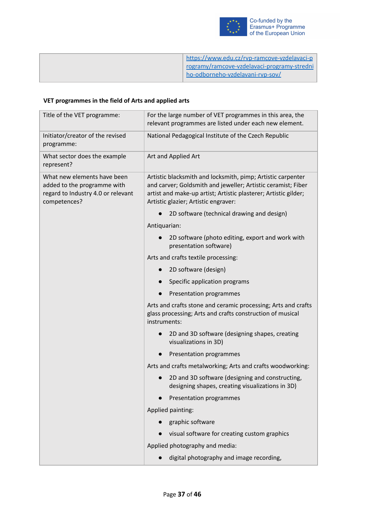

| https://www.edu.cz/rvp-ramcove-vzdelavaci-p |
|---------------------------------------------|
| rogramy/ramcove-vzdelavaci-programy-stredni |
| ho-odborneho-vzdelavani-rvp-sov/            |
|                                             |

# **VET programmes in the field of Arts and applied arts**

| Title of the VET programme:                                                                                      | For the large number of VET programmes in this area, the<br>relevant programmes are listed under each new element.                                                                                                                     |
|------------------------------------------------------------------------------------------------------------------|----------------------------------------------------------------------------------------------------------------------------------------------------------------------------------------------------------------------------------------|
| Initiator/creator of the revised<br>programme:                                                                   | National Pedagogical Institute of the Czech Republic                                                                                                                                                                                   |
| What sector does the example<br>represent?                                                                       | Art and Applied Art                                                                                                                                                                                                                    |
| What new elements have been<br>added to the programme with<br>regard to Industry 4.0 or relevant<br>competences? | Artistic blacksmith and locksmith, pimp; Artistic carpenter<br>and carver; Goldsmith and jeweller; Artistic ceramist; Fiber<br>artist and make-up artist; Artistic plasterer; Artistic gilder;<br>Artistic glazier; Artistic engraver: |
|                                                                                                                  | 2D software (technical drawing and design)                                                                                                                                                                                             |
|                                                                                                                  | Antiquarian:                                                                                                                                                                                                                           |
|                                                                                                                  | 2D software (photo editing, export and work with<br>presentation software)                                                                                                                                                             |
|                                                                                                                  | Arts and crafts textile processing:                                                                                                                                                                                                    |
|                                                                                                                  | 2D software (design)                                                                                                                                                                                                                   |
|                                                                                                                  | Specific application programs                                                                                                                                                                                                          |
|                                                                                                                  | Presentation programmes                                                                                                                                                                                                                |
|                                                                                                                  | Arts and crafts stone and ceramic processing; Arts and crafts<br>glass processing; Arts and crafts construction of musical<br>instruments:                                                                                             |
|                                                                                                                  | 2D and 3D software (designing shapes, creating<br>visualizations in 3D)                                                                                                                                                                |
|                                                                                                                  | Presentation programmes                                                                                                                                                                                                                |
|                                                                                                                  | Arts and crafts metalworking; Arts and crafts woodworking:                                                                                                                                                                             |
|                                                                                                                  | 2D and 3D software (designing and constructing,<br>designing shapes, creating visualizations in 3D)                                                                                                                                    |
|                                                                                                                  | Presentation programmes                                                                                                                                                                                                                |
|                                                                                                                  | Applied painting:                                                                                                                                                                                                                      |
|                                                                                                                  | graphic software                                                                                                                                                                                                                       |
|                                                                                                                  | visual software for creating custom graphics                                                                                                                                                                                           |
|                                                                                                                  | Applied photography and media:                                                                                                                                                                                                         |
|                                                                                                                  | digital photography and image recording,                                                                                                                                                                                               |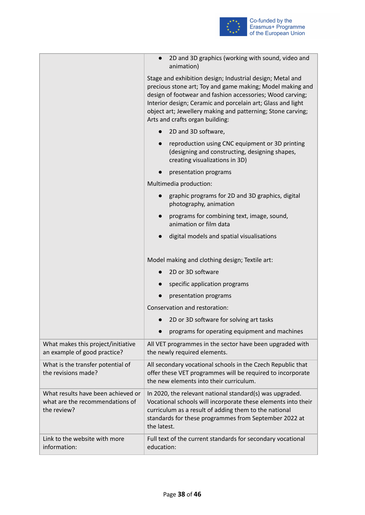

|                                                                                      | 2D and 3D graphics (working with sound, video and<br>animation)                                                                                                                                                                                                                                                                                      |
|--------------------------------------------------------------------------------------|------------------------------------------------------------------------------------------------------------------------------------------------------------------------------------------------------------------------------------------------------------------------------------------------------------------------------------------------------|
|                                                                                      | Stage and exhibition design; Industrial design; Metal and<br>precious stone art; Toy and game making; Model making and<br>design of footwear and fashion accessories; Wood carving;<br>Interior design; Ceramic and porcelain art; Glass and light<br>object art; Jewellery making and patterning; Stone carving;<br>Arts and crafts organ building: |
|                                                                                      | 2D and 3D software,<br>$\bullet$                                                                                                                                                                                                                                                                                                                     |
|                                                                                      | reproduction using CNC equipment or 3D printing<br>$\bullet$<br>(designing and constructing, designing shapes,<br>creating visualizations in 3D)                                                                                                                                                                                                     |
|                                                                                      | presentation programs                                                                                                                                                                                                                                                                                                                                |
|                                                                                      | Multimedia production:                                                                                                                                                                                                                                                                                                                               |
|                                                                                      | graphic programs for 2D and 3D graphics, digital<br>photography, animation                                                                                                                                                                                                                                                                           |
|                                                                                      | programs for combining text, image, sound,<br>$\bullet$<br>animation or film data                                                                                                                                                                                                                                                                    |
|                                                                                      | digital models and spatial visualisations                                                                                                                                                                                                                                                                                                            |
|                                                                                      | Model making and clothing design; Textile art:                                                                                                                                                                                                                                                                                                       |
|                                                                                      | 2D or 3D software<br>$\bullet$                                                                                                                                                                                                                                                                                                                       |
|                                                                                      | specific application programs                                                                                                                                                                                                                                                                                                                        |
|                                                                                      | presentation programs                                                                                                                                                                                                                                                                                                                                |
|                                                                                      | Conservation and restoration:                                                                                                                                                                                                                                                                                                                        |
|                                                                                      | 2D or 3D software for solving art tasks                                                                                                                                                                                                                                                                                                              |
|                                                                                      | programs for operating equipment and machines                                                                                                                                                                                                                                                                                                        |
| What makes this project/initiative<br>an example of good practice?                   | All VET programmes in the sector have been upgraded with<br>the newly required elements.                                                                                                                                                                                                                                                             |
| What is the transfer potential of<br>the revisions made?                             | All secondary vocational schools in the Czech Republic that<br>offer these VET programmes will be required to incorporate<br>the new elements into their curriculum.                                                                                                                                                                                 |
| What results have been achieved or<br>what are the recommendations of<br>the review? | In 2020, the relevant national standard(s) was upgraded.<br>Vocational schools will incorporate these elements into their<br>curriculum as a result of adding them to the national<br>standards for these programmes from September 2022 at<br>the latest.                                                                                           |
| Link to the website with more<br>information:                                        | Full text of the current standards for secondary vocational<br>education:                                                                                                                                                                                                                                                                            |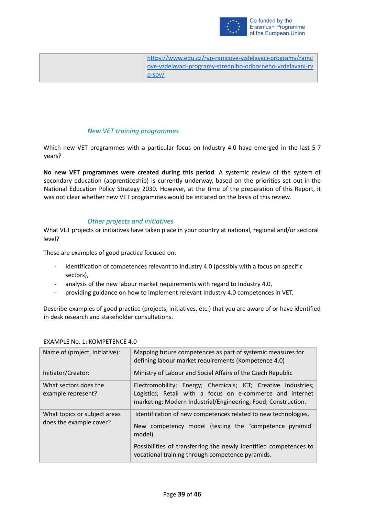

| https://www.edu.cz/ryp-ramcove-vzdelavaci-programy/ramc   |
|-----------------------------------------------------------|
| ove-vzdelavaci-programy-stredniho-odborneho-vzdelavani-rv |
| $D-SOV/$                                                  |

#### *New VET training programmes*

<span id="page-38-0"></span>Which new VET programmes with a particular focus on Industry 4.0 have emerged in the last 5-7 years?

**No new VET programmes were created during this period**. A systemic review of the system of secondary education (apprenticeship) is currently underway, based on the priorities set out in the National Education Policy Strategy 2030. However, at the time of the preparation of this Report, it was not clear whether new VET programmes would be initiated on the basis of this review.

#### *Other projects and initiatives*

<span id="page-38-1"></span>What VET projects or initiatives have taken place in your country at national, regional and/or sectoral level?

These are examples of good practice focused on:

- Identification of competences relevant to Industry 4.0 (possibly with a focus on specific sectors),
- analysis of the new labour market requirements with regard to Industry 4.0,
- providing guidance on how to implement relevant Industry 4.0 competences in VET.

Describe examples of good practice (projects, initiatives, etc.) that you are aware of or have identified in desk research and stakeholder consultations.

| Name of (project, initiative):                          | Mapping future competences as part of systemic measures for<br>defining labour market requirements (Kompetence 4.0)                                                                         |
|---------------------------------------------------------|---------------------------------------------------------------------------------------------------------------------------------------------------------------------------------------------|
| Initiator/Creator:                                      | Ministry of Labour and Social Affairs of the Czech Republic                                                                                                                                 |
| What sectors does the<br>example represent?             | Electromobility; Energy; Chemicals; ICT; Creative Industries;<br>Logistics; Retail with a focus on e-commerce and internet<br>marketing; Modern Industrial/Engineering; Food; Construction. |
| What topics or subject areas<br>does the example cover? | Identification of new competences related to new technologies.<br>New competency model (testing the "competence pyramid"<br>model)                                                          |
|                                                         | Possibilities of transferring the newly identified competences to<br>vocational training through competence pyramids.                                                                       |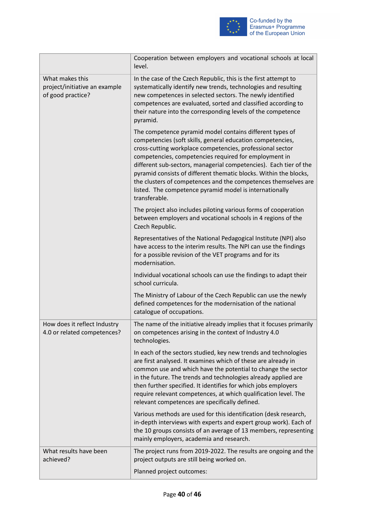

|                                                                       | Cooperation between employers and vocational schools at local<br>level.                                                                                                                                                                                                                                                                                                                                                                                                                                                              |
|-----------------------------------------------------------------------|--------------------------------------------------------------------------------------------------------------------------------------------------------------------------------------------------------------------------------------------------------------------------------------------------------------------------------------------------------------------------------------------------------------------------------------------------------------------------------------------------------------------------------------|
| What makes this<br>project/initiative an example<br>of good practice? | In the case of the Czech Republic, this is the first attempt to<br>systematically identify new trends, technologies and resulting<br>new competences in selected sectors. The newly identified<br>competences are evaluated, sorted and classified according to<br>their nature into the corresponding levels of the competence<br>pyramid.                                                                                                                                                                                          |
|                                                                       | The competence pyramid model contains different types of<br>competencies (soft skills, general education competencies,<br>cross-cutting workplace competencies, professional sector<br>competencies, competencies required for employment in<br>different sub-sectors, managerial competencies). Each tier of the<br>pyramid consists of different thematic blocks. Within the blocks,<br>the clusters of competences and the competences themselves are<br>listed. The competence pyramid model is internationally<br>transferable. |
|                                                                       | The project also includes piloting various forms of cooperation<br>between employers and vocational schools in 4 regions of the<br>Czech Republic.                                                                                                                                                                                                                                                                                                                                                                                   |
|                                                                       | Representatives of the National Pedagogical Institute (NPI) also<br>have access to the interim results. The NPI can use the findings<br>for a possible revision of the VET programs and for its<br>modernisation.                                                                                                                                                                                                                                                                                                                    |
|                                                                       | Individual vocational schools can use the findings to adapt their<br>school curricula.                                                                                                                                                                                                                                                                                                                                                                                                                                               |
|                                                                       | The Ministry of Labour of the Czech Republic can use the newly<br>defined competences for the modernisation of the national<br>catalogue of occupations.                                                                                                                                                                                                                                                                                                                                                                             |
| How does it reflect Industry<br>4.0 or related competences?           | The name of the initiative already implies that it focuses primarily<br>on competences arising in the context of Industry 4.0<br>technologies.                                                                                                                                                                                                                                                                                                                                                                                       |
|                                                                       | In each of the sectors studied, key new trends and technologies<br>are first analysed. It examines which of these are already in<br>common use and which have the potential to change the sector<br>in the future. The trends and technologies already applied are<br>then further specified. It identifies for which jobs employers<br>require relevant competences, at which qualification level. The<br>relevant competences are specifically defined.                                                                            |
|                                                                       | Various methods are used for this identification (desk research,<br>in-depth interviews with experts and expert group work). Each of<br>the 10 groups consists of an average of 13 members, representing<br>mainly employers, academia and research.                                                                                                                                                                                                                                                                                 |
| What results have been<br>achieved?                                   | The project runs from 2019-2022. The results are ongoing and the<br>project outputs are still being worked on.                                                                                                                                                                                                                                                                                                                                                                                                                       |
|                                                                       | Planned project outcomes:                                                                                                                                                                                                                                                                                                                                                                                                                                                                                                            |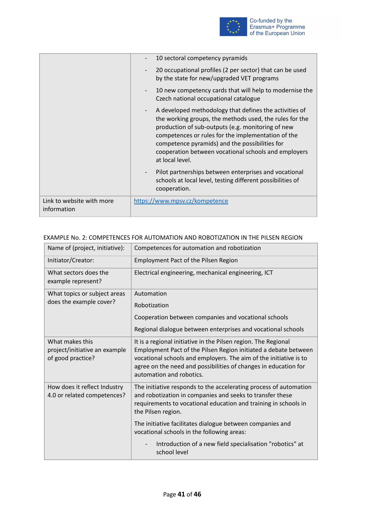

|                                          | 10 sectoral competency pyramids                                                                                                                                                                                                                                                                                                                                    |
|------------------------------------------|--------------------------------------------------------------------------------------------------------------------------------------------------------------------------------------------------------------------------------------------------------------------------------------------------------------------------------------------------------------------|
|                                          | 20 occupational profiles (2 per sector) that can be used<br>by the state for new/upgraded VET programs                                                                                                                                                                                                                                                             |
|                                          | 10 new competency cards that will help to modernise the<br>Czech national occupational catalogue                                                                                                                                                                                                                                                                   |
|                                          | A developed methodology that defines the activities of<br>$ \,$<br>the working groups, the methods used, the rules for the<br>production of sub-outputs (e.g. monitoring of new<br>competences or rules for the implementation of the<br>competence pyramids) and the possibilities for<br>cooperation between vocational schools and employers<br>at local level. |
|                                          | Pilot partnerships between enterprises and vocational<br>$\overline{\phantom{a}}$<br>schools at local level, testing different possibilities of<br>cooperation.                                                                                                                                                                                                    |
| Link to website with more<br>information | https://www.mpsv.cz/kompetence                                                                                                                                                                                                                                                                                                                                     |

| Name of (project, initiative):                                        | Competences for automation and robotization                                                                                                                                                                                                                                                           |  |
|-----------------------------------------------------------------------|-------------------------------------------------------------------------------------------------------------------------------------------------------------------------------------------------------------------------------------------------------------------------------------------------------|--|
| Initiator/Creator:                                                    | <b>Employment Pact of the Pilsen Region</b>                                                                                                                                                                                                                                                           |  |
| What sectors does the<br>example represent?                           | Electrical engineering, mechanical engineering, ICT                                                                                                                                                                                                                                                   |  |
| What topics or subject areas<br>does the example cover?               | Automation                                                                                                                                                                                                                                                                                            |  |
|                                                                       | Robotization                                                                                                                                                                                                                                                                                          |  |
|                                                                       | Cooperation between companies and vocational schools                                                                                                                                                                                                                                                  |  |
|                                                                       | Regional dialogue between enterprises and vocational schools                                                                                                                                                                                                                                          |  |
| What makes this<br>project/initiative an example<br>of good practice? | It is a regional initiative in the Pilsen region. The Regional<br>Employment Pact of the Pilsen Region initiated a debate between<br>vocational schools and employers. The aim of the initiative is to<br>agree on the need and possibilities of changes in education for<br>automation and robotics. |  |
| How does it reflect Industry<br>4.0 or related competences?           | The initiative responds to the accelerating process of automation<br>and robotization in companies and seeks to transfer these<br>requirements to vocational education and training in schools in<br>the Pilsen region.                                                                               |  |
|                                                                       | The initiative facilitates dialogue between companies and<br>vocational schools in the following areas:                                                                                                                                                                                               |  |
|                                                                       | Introduction of a new field specialisation "robotics" at<br>school level                                                                                                                                                                                                                              |  |

#### EXAMPLE No. 2: COMPETENCES FOR AUTOMATION AND ROBOTIZATION IN THE PILSEN REGION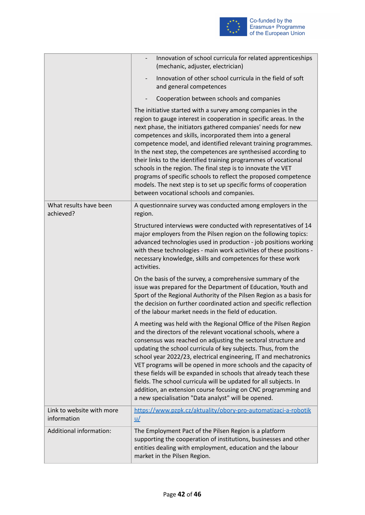

|                                          | Innovation of school curricula for related apprenticeships<br>(mechanic, adjuster, electrician)                                                                                                                                                                                                                                                                                                                                                                                                                                                                                                                                                                                                                         |
|------------------------------------------|-------------------------------------------------------------------------------------------------------------------------------------------------------------------------------------------------------------------------------------------------------------------------------------------------------------------------------------------------------------------------------------------------------------------------------------------------------------------------------------------------------------------------------------------------------------------------------------------------------------------------------------------------------------------------------------------------------------------------|
|                                          | Innovation of other school curricula in the field of soft<br>$\overline{\phantom{a}}$<br>and general competences                                                                                                                                                                                                                                                                                                                                                                                                                                                                                                                                                                                                        |
|                                          | Cooperation between schools and companies                                                                                                                                                                                                                                                                                                                                                                                                                                                                                                                                                                                                                                                                               |
|                                          | The initiative started with a survey among companies in the<br>region to gauge interest in cooperation in specific areas. In the<br>next phase, the initiators gathered companies' needs for new<br>competences and skills, incorporated them into a general<br>competence model, and identified relevant training programmes.<br>In the next step, the competences are synthesised according to<br>their links to the identified training programmes of vocational<br>schools in the region. The final step is to innovate the VET<br>programs of specific schools to reflect the proposed competence<br>models. The next step is to set up specific forms of cooperation<br>between vocational schools and companies. |
| What results have been<br>achieved?      | A questionnaire survey was conducted among employers in the<br>region.                                                                                                                                                                                                                                                                                                                                                                                                                                                                                                                                                                                                                                                  |
|                                          | Structured interviews were conducted with representatives of 14<br>major employers from the Pilsen region on the following topics:<br>advanced technologies used in production - job positions working<br>with these technologies - main work activities of these positions -<br>necessary knowledge, skills and competences for these work<br>activities.                                                                                                                                                                                                                                                                                                                                                              |
|                                          | On the basis of the survey, a comprehensive summary of the<br>issue was prepared for the Department of Education, Youth and<br>Sport of the Regional Authority of the Pilsen Region as a basis for<br>the decision on further coordinated action and specific reflection<br>of the labour market needs in the field of education.                                                                                                                                                                                                                                                                                                                                                                                       |
|                                          | A meeting was held with the Regional Office of the Pilsen Region<br>and the directors of the relevant vocational schools, where a<br>consensus was reached on adjusting the sectoral structure and<br>updating the school curricula of key subjects. Thus, from the<br>school year 2022/23, electrical engineering, IT and mechatronics<br>VET programs will be opened in more schools and the capacity of<br>these fields will be expanded in schools that already teach these<br>fields. The school curricula will be updated for all subjects. In<br>addition, an extension course focusing on CNC programming and<br>a new specialisation "Data analyst" will be opened.                                            |
| Link to website with more<br>information | https://www.pzpk.cz/aktuality/obory-pro-automatizaci-a-robotik<br>$\underline{u}$                                                                                                                                                                                                                                                                                                                                                                                                                                                                                                                                                                                                                                       |
| Additional information:                  | The Employment Pact of the Pilsen Region is a platform<br>supporting the cooperation of institutions, businesses and other<br>entities dealing with employment, education and the labour<br>market in the Pilsen Region.                                                                                                                                                                                                                                                                                                                                                                                                                                                                                                |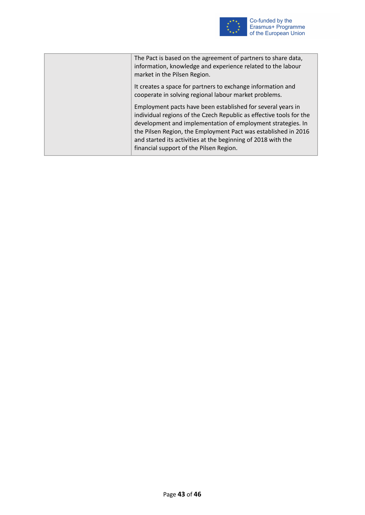

The Pact is based on the agreement of partners to share data, information, knowledge and experience related to the labour market in the Pilsen Region. It creates a space for partners to exchange information and cooperate in solving regional labour market problems. Employment pacts have been established for several years in individual regions of the Czech Republic as effective tools for the development and implementation of employment strategies. In the Pilsen Region, the Employment Pact was established in 2016 and started its activities at the beginning of 2018 with the financial support of the Pilsen Region.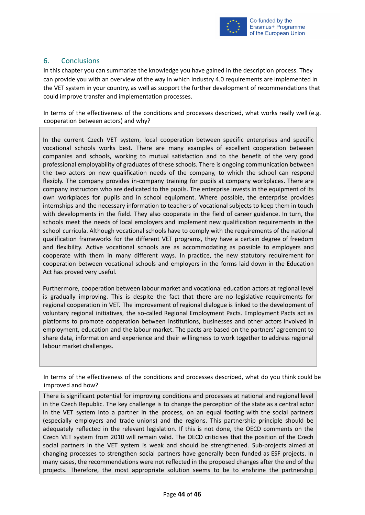

# <span id="page-43-0"></span>6. Conclusions

In this chapter you can summarize the knowledge you have gained in the description process. They can provide you with an overview of the way in which Industry 4.0 requirements are implemented in the VET system in your country, as well as support the further development of recommendations that could improve transfer and implementation processes.

In terms of the effectiveness of the conditions and processes described, what works really well (e.g. cooperation between actors) and why?

In the current Czech VET system, local cooperation between specific enterprises and specific vocational schools works best. There are many examples of excellent cooperation between companies and schools, working to mutual satisfaction and to the benefit of the very good professional employability of graduates of these schools. There is ongoing communication between the two actors on new qualification needs of the company, to which the school can respond flexibly. The company provides in-company training for pupils at company workplaces. There are company instructors who are dedicated to the pupils. The enterprise invests in the equipment of its own workplaces for pupils and in school equipment. Where possible, the enterprise provides internships and the necessary information to teachers of vocational subjects to keep them in touch with developments in the field. They also cooperate in the field of career guidance. In turn, the schools meet the needs of local employers and implement new qualification requirements in the school curricula. Although vocational schools have to comply with the requirements of the national qualification frameworks for the different VET programs, they have a certain degree of freedom and flexibility. Active vocational schools are as accommodating as possible to employers and cooperate with them in many different ways. In practice, the new statutory requirement for cooperation between vocational schools and employers in the forms laid down in the Education Act has proved very useful.

Furthermore, cooperation between labour market and vocational education actors at regional level is gradually improving. This is despite the fact that there are no legislative requirements for regional cooperation in VET. The improvement of regional dialogue is linked to the development of voluntary regional initiatives, the so-called Regional Employment Pacts. Employment Pacts act as platforms to promote cooperation between institutions, businesses and other actors involved in employment, education and the labour market. The pacts are based on the partners' agreement to share data, information and experience and their willingness to work together to address regional labour market challenges.

In terms of the effectiveness of the conditions and processes described, what do you think could be improved and how?

There is significant potential for improving conditions and processes at national and regional level in the Czech Republic. The key challenge is to change the perception of the state as a central actor in the VET system into a partner in the process, on an equal footing with the social partners (especially employers and trade unions) and the regions. This partnership principle should be adequately reflected in the relevant legislation. If this is not done, the OECD comments on the Czech VET system from 2010 will remain valid. The OECD criticises that the position of the Czech social partners in the VET system is weak and should be strengthened. Sub-projects aimed at changing processes to strengthen social partners have generally been funded as ESF projects. In many cases, the recommendations were not reflected in the proposed changes after the end of the projects. Therefore, the most appropriate solution seems to be to enshrine the partnership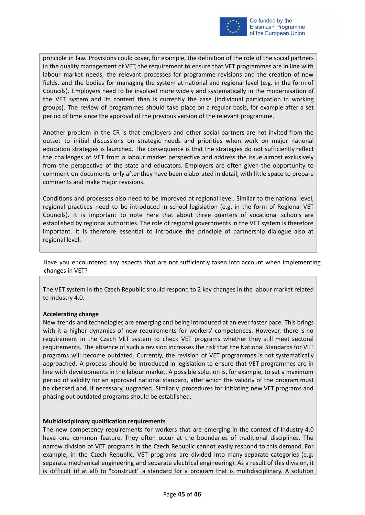

principle in law. Provisions could cover, for example, the definition of the role of the social partners in the quality management of VET, the requirement to ensure that VET programmes are in line with labour market needs, the relevant processes for programme revisions and the creation of new fields, and the bodies for managing the system at national and regional level (e.g. in the form of Councils). Employers need to be involved more widely and systematically in the modernisation of the VET system and its content than is currently the case (individual participation in working groups). The review of programmes should take place on a regular basis, for example after a set period of time since the approval of the previous version of the relevant programme.

Another problem in the CR is that employers and other social partners are not invited from the outset to initial discussions on strategic needs and priorities when work on major national education strategies is launched. The consequence is that the strategies do not sufficiently reflect the challenges of VET from a labour market perspective and address the issue almost exclusively from the perspective of the state and educators. Employers are often given the opportunity to comment on documents only after they have been elaborated in detail, with little space to prepare comments and make major revisions.

Conditions and processes also need to be improved at regional level. Similar to the national level, regional practices need to be introduced in school legislation (e.g. in the form of Regional VET Councils). It is important to note here that about three quarters of vocational schools are established by regional authorities. The role of regional governments in the VET system is therefore important. It is therefore essential to introduce the principle of partnership dialogue also at regional level.

Have you encountered any aspects that are not sufficiently taken into account when implementing changes in VET?

The VET system in the Czech Republic should respond to 2 key changes in the labour market related to Industry 4.0.

#### **Accelerating change**

New trends and technologies are emerging and being introduced at an ever faster pace. This brings with it a higher dynamics of new requirements for workers' competences. However, there is no requirement in the Czech VET system to check VET programs whether they still meet sectoral requirements. The absence of such a revision increases the risk that the National Standards for VET programs will become outdated. Currently, the revision of VET programmes is not systematically approached. A process should be introduced in legislation to ensure that VET programmes are in line with developments in the labour market. A possible solution is, for example, to set a maximum period of validity for an approved national standard, after which the validity of the program must be checked and, if necessary, upgraded. Similarly, procedures for initiating new VET programs and phasing out outdated programs should be established.

#### **Multidisciplinary qualification requirements**

The new competency requirements for workers that are emerging in the context of Industry 4.0 have one common feature. They often occur at the boundaries of traditional disciplines. The narrow division of VET programs in the Czech Republic cannot easily respond to this demand. For example, in the Czech Republic, VET programs are divided into many separate categories (e.g. separate mechanical engineering and separate electrical engineering). As a result of this division, it is difficult (if at all) to "construct" a standard for a program that is multidisciplinary. A solution